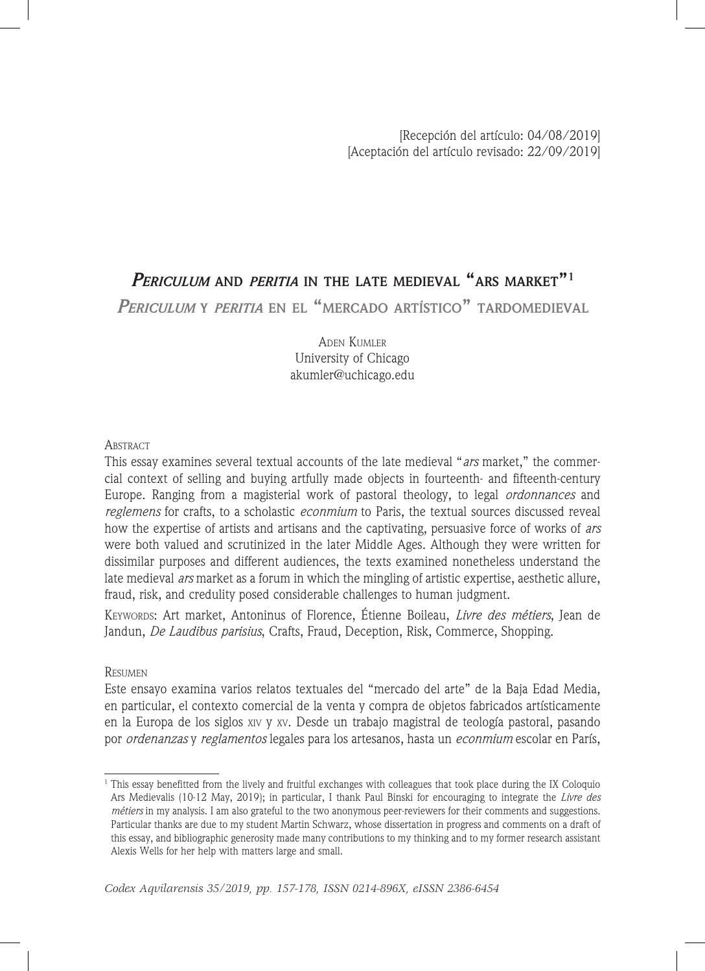# *Periculum* **and** *peritia* **in the late medieval "ars market"1**

*Periculum* **<sup>y</sup>** *peritia* **en el "mercado artístico" tardomedieval**

Aden Kumler University of Chicago akumler@uchicago.edu

## **ABSTRACT**

This essay examines several textual accounts of the late medieval "*ars* market," the commercial context of selling and buying artfully made objects in fourteenth- and fifteenth-century Europe. Ranging from a magisterial work of pastoral theology, to legal *ordonnances* and *reglemens* for crafts, to a scholastic *econmium* to Paris, the textual sources discussed reveal how the expertise of artists and artisans and the captivating, persuasive force of works of *ars* were both valued and scrutinized in the later Middle Ages. Although they were written for dissimilar purposes and different audiences, the texts examined nonetheless understand the late medieval *ars* market as a forum in which the mingling of artistic expertise, aesthetic allure, fraud, risk, and credulity posed considerable challenges to human judgment.

Keywords: Art market, Antoninus of Florence, Étienne Boileau, *Livre des métiers*, Jean de Jandun, *De Laudibus parisius*, Crafts, Fraud, Deception, Risk, Commerce, Shopping.

## **RESUMEN**

Este ensayo examina varios relatos textuales del "mercado del arte" de la Baja Edad Media, en particular, el contexto comercial de la venta y compra de objetos fabricados artísticamente en la Europa de los siglos xiv y xv. Desde un trabajo magistral de teología pastoral, pasando por *ordenanzas* y *reglamentos* legales para los artesanos, hasta un *econmium* escolar en París,

 $1$ <sup>1</sup> This essay benefitted from the lively and fruitful exchanges with colleagues that took place during the IX Coloquio Ars Medievalis (10-12 May, 2019); in particular, I thank Paul Binski for encouraging to integrate the *Livre des métiers* in my analysis. I am also grateful to the two anonymous peer-reviewers for their comments and suggestions. Particular thanks are due to my student Martin Schwarz, whose dissertation in progress and comments on a draft of this essay, and bibliographic generosity made many contributions to my thinking and to my former research assistant Alexis Wells for her help with matters large and small.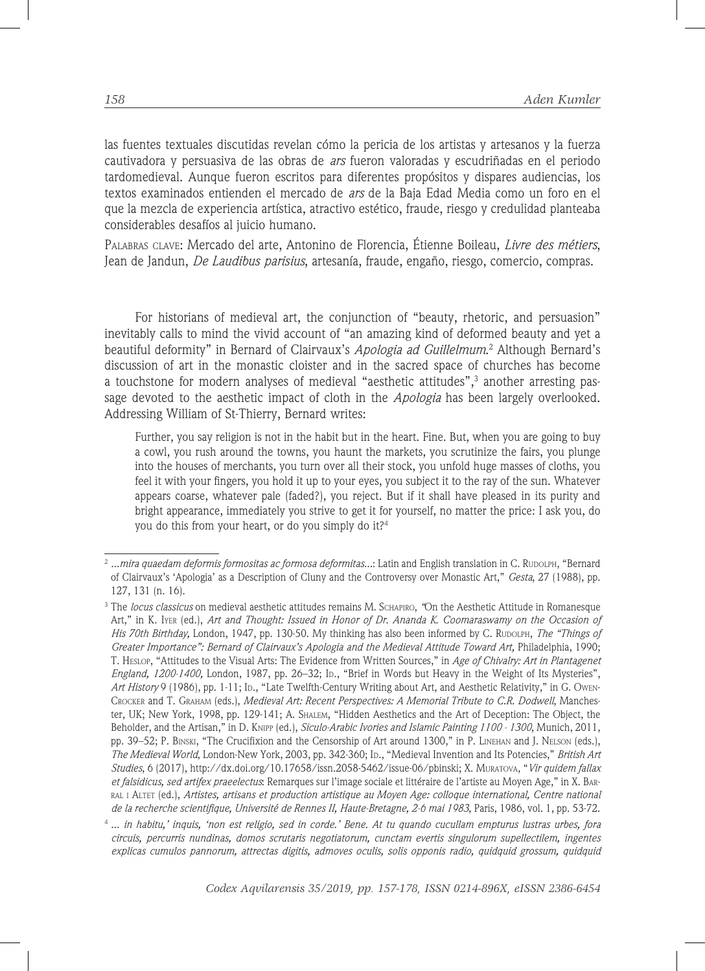las fuentes textuales discutidas revelan cómo la pericia de los artistas y artesanos y la fuerza cautivadora y persuasiva de las obras de *ars* fueron valoradas y escudriñadas en el periodo tardomedieval. Aunque fueron escritos para diferentes propósitos y dispares audiencias, los textos examinados entienden el mercado de *ars* de la Baja Edad Media como un foro en el que la mezcla de experiencia artística, atractivo estético, fraude, riesgo y credulidad planteaba considerables desafíos al juicio humano.

Palabras clave: Mercado del arte, Antonino de Florencia, Étienne Boileau, *Livre des métiers*, Jean de Jandun, *De Laudibus parisius*, artesanía, fraude, engaño, riesgo, comercio, compras.

For historians of medieval art, the conjunction of "beauty, rhetoric, and persuasion" inevitably calls to mind the vivid account of "an amazing kind of deformed beauty and yet a beautiful deformity" in Bernard of Clairvaux's *Apologia ad Guillelmum*. 2 Although Bernard's discussion of art in the monastic cloister and in the sacred space of churches has become a touchstone for modern analyses of medieval "aesthetic attitudes",3 another arresting passage devoted to the aesthetic impact of cloth in the *Apologia* has been largely overlooked. Addressing William of St-Thierry, Bernard writes:

Further, you say religion is not in the habit but in the heart. Fine. But, when you are going to buy a cowl, you rush around the towns, you haunt the markets, you scrutinize the fairs, you plunge into the houses of merchants, you turn over all their stock, you unfold huge masses of cloths, you feel it with your fingers, you hold it up to your eyes, you subject it to the ray of the sun. Whatever appears coarse, whatever pale (faded?), you reject. But if it shall have pleased in its purity and bright appearance, immediately you strive to get it for yourself, no matter the price: I ask you, do you do this from your heart, or do you simply do it?4

<sup>&</sup>lt;sup>2</sup> ...mira quaedam deformis formositas ac formosa deformitas...: Latin and English translation in C. Rupolph, "Bernard of Clairvaux's 'Apologia' as a Description of Cluny and the Controversy over Monastic Art," *Gesta*, 27 (1988), pp. 127, 131 (n. 16).

<sup>3</sup> The *locus classicus* on medieval aesthetic attitudes remains M. Schapiro, *"*On the Aesthetic Attitude in Romanesque Art," in K. Iyer (ed.), *Art and Thought: Issued in Honor of Dr. Ananda K. Coomaraswamy on the Occasion of His 70th Birthday, London, 1947, pp. 130-50. My thinking has also been informed by C. Rupolph, The "Things of Greater Importance": Bernard of Clairvaux's Apologia and the Medieval Attitude Toward Art,* Philadelphia, 1990; T. Heslop, "Attitudes to the Visual Arts: The Evidence from Written Sources," in *Age of Chivalry: Art in Plantagenet England, 1200-1400, London, 1987, pp. 26-32; Ip., "Brief in Words but Heavy in the Weight of Its Mysteries", Art History* 9 (1986), pp. 1-11; Ip., "Late Twelfth-Century Writing about Art, and Aesthetic Relativity," in G. Owen-Crocker and T. Graham (eds.), *Medieval Art: Recent Perspectives: A Memorial Tribute to C.R. Dodwell*, Manchester, UK; New York, 1998, pp. 129-141; A. Shalem, "Hidden Aesthetics and the Art of Deception: The Object, the Beholder, and the Artisan," in D. Knipp (ed.), *Siculo-Arabic Ivories and Islamic Painting 1100 - 1300*, Munich, 2011, pp. 39–52; P. Binski, "The Crucifixion and the Censorship of Art around 1300," in P. Linehan and J. Nelson (eds.), *The Medieval World*, London-New York, 2003, pp. 342-360; Id., "Medieval Invention and Its Potencies," *British Art Studies*, 6 (2017), http://dx.doi.org/10.17658/issn.2058-5462/issue-06/pbinski; X. Muratova, "*Vir quidem fallax et falsidicus, sed artifex praeelectus*: Remarques sur l'image sociale et littéraire de l'artiste au Moyen Age," in X. Barral i Altet (ed.), *Artistes, artisans et production artistique au Moyen Age: colloque international, Centre national de la recherche scientifique, Université de Rennes II, Haute-Bretagne, 2-6 mai 1983*, Paris, 1986, vol. 1, pp. 53-72.

<sup>4</sup> *... in habitu,' inquis, 'non est religio, sed in corde.' Bene. At tu quando cucullam empturus lustras urbes, fora circuis, percurris nundinas, domos scrutaris negotiatorum, cunctam evertis singulorum supellectilem, ingentes explicas cumulos pannorum, attrectas digitis, admoves oculis, solis opponis radio, quidquid grossum, quidquid*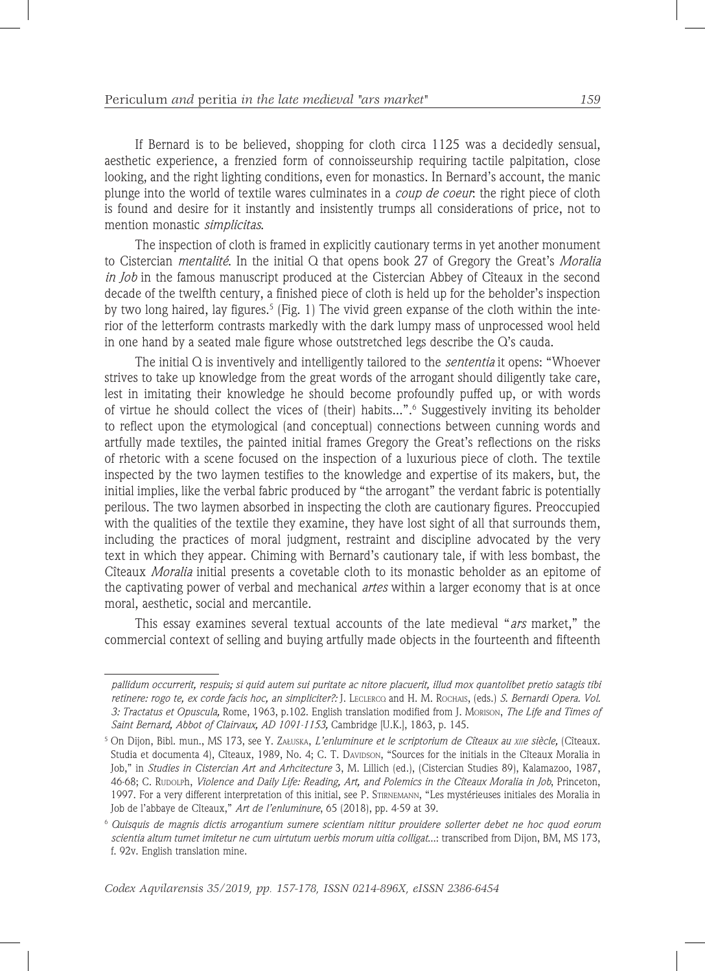If Bernard is to be believed, shopping for cloth circa 1125 was a decidedly sensual, aesthetic experience, a frenzied form of connoisseurship requiring tactile palpitation, close looking, and the right lighting conditions, even for monastics. In Bernard's account, the manic plunge into the world of textile wares culminates in a *coup de coeur*: the right piece of cloth is found and desire for it instantly and insistently trumps all considerations of price, not to mention monastic *simplicitas*.

The inspection of cloth is framed in explicitly cautionary terms in yet another monument to Cistercian *mentalité*. In the initial Q that opens book 27 of Gregory the Great's *Moralia in Job* in the famous manuscript produced at the Cistercian Abbey of Cîteaux in the second decade of the twelfth century, a finished piece of cloth is held up for the beholder's inspection by two long haired, lay figures.<sup>5</sup> (Fig. 1) The vivid green expanse of the cloth within the interior of the letterform contrasts markedly with the dark lumpy mass of unprocessed wool held in one hand by a seated male figure whose outstretched legs describe the Q's cauda.

The initial Q is inventively and intelligently tailored to the *sententia* it opens: "Whoever strives to take up knowledge from the great words of the arrogant should diligently take care, lest in imitating their knowledge he should become profoundly puffed up, or with words of virtue he should collect the vices of (their) habits...".6 Suggestively inviting its beholder to reflect upon the etymological (and conceptual) connections between cunning words and artfully made textiles, the painted initial frames Gregory the Great's reflections on the risks of rhetoric with a scene focused on the inspection of a luxurious piece of cloth. The textile inspected by the two laymen testifies to the knowledge and expertise of its makers, but, the initial implies, like the verbal fabric produced by "the arrogant" the verdant fabric is potentially perilous. The two laymen absorbed in inspecting the cloth are cautionary figures. Preoccupied with the qualities of the textile they examine, they have lost sight of all that surrounds them, including the practices of moral judgment, restraint and discipline advocated by the very text in which they appear. Chiming with Bernard's cautionary tale, if with less bombast, the Cîteaux *Moralia* initial presents a covetable cloth to its monastic beholder as an epitome of the captivating power of verbal and mechanical *artes* within a larger economy that is at once moral, aesthetic, social and mercantile.

This essay examines several textual accounts of the late medieval "*ars* market," the commercial context of selling and buying artfully made objects in the fourteenth and fifteenth

*pallidum occurrerit, respuis; si quid autem sui puritate ac nitore placuerit, illud mox quantolibet pretio satagis tibi retinere: rogo te, ex corde facis hoc, an simpliciter?:* J. Leclercq and H. M. Rochais, (eds.) *S. Bernardi Opera. Vol. 3: Tractatus et Opuscula,* Rome, 1963, p.102. English translation modified from J. Morison, *The Life and Times of Saint Bernard, Abbot of Clairvaux, AD 1091-1153,* Cambridge [U.K.], 1863, p. 145.

<sup>5</sup> On Dijon, Bibl. mun., MS 173, see Y. Załuska, *L'enluminure et le scriptorium de Cîteaux au xiie siècle,* (Cîteaux. Studia et documenta 4), Cîteaux, 1989, No. 4; C. T. DAVIDSON, "Sources for the initials in the Cîteaux Moralia in Job," in *Studies in Cistercian Art and Arhcitecture* 3, M. Lillich (ed.), (Cistercian Studies 89), Kalamazoo, 1987, 46-68; C. Rupolph, *Violence and Daily Life: Reading, Art, and Polemics in the Cîteaux Moralia in Job*, Princeton, 1997. For a very different interpretation of this initial, see P. Stirnemann, "Les mystérieuses initiales des Moralia in Job de l'abbaye de Cîteaux," *Art de l'enluminure*, 65 (2018), pp. 4-59 at 39.

<sup>6</sup> *Quisquis de magnis dictis arrogantium sumere scientiam nititur prouidere sollerter debet ne hoc quod eorum scientia altum tumet imitetur ne cum uirtutum uerbis morum uitia colligat*...: transcribed from Dijon, BM, MS 173, f. 92v. English translation mine.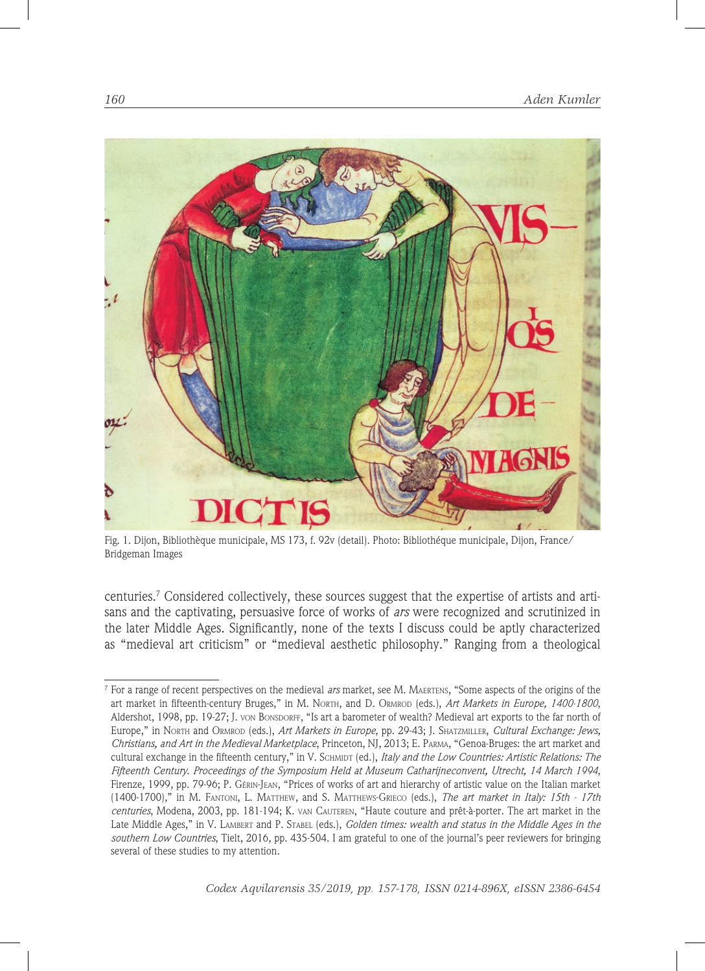

Fig. 1. Dijon, Bibliothèque municipale, MS 173, f. 92v (detail). Photo: Bibliothéque municipale, Dijon, France/ Bridgeman Images

centuries.7 Considered collectively, these sources suggest that the expertise of artists and artisans and the captivating, persuasive force of works of *ars* were recognized and scrutinized in the later Middle Ages. Significantly, none of the texts I discuss could be aptly characterized as "medieval art criticism" or "medieval aesthetic philosophy." Ranging from a theological

<sup>7</sup> For a range of recent perspectives on the medieval *ars* market, see M. Maertens, "Some aspects of the origins of the art market in fifteenth-century Bruges," in M. North, and D. Ormrod (eds.), *Art Markets in Europe, 1400-1800*, Aldershot, 1998, pp. 19-27; J. von Bonsporef, "Is art a barometer of wealth? Medieval art exports to the far north of Europe," in North and Ormrod (eds.), *Art Markets in Europe*, pp. 29-43; J. Shatzmiller, *Cultural Exchange: Jews, Christians, and Art in the Medieval Marketplace*, Princeton, NJ, 2013; E. Parma, "Genoa-Bruges: the art market and cultural exchange in the fifteenth century," in V. SCHMIDT (ed.), *Italy and the Low Countries: Artistic Relations: The Fifteenth Century. Proceedings of the Symposium Held at Museum Catharijneconvent, Utrecht, 14 March 1994*, Firenze, 1999, pp. 79-96; P. Gérin-Jean, "Prices of works of art and hierarchy of artistic value on the Italian market (1400-1700)," in M. Fantoni, L. Matthew, and S. Matthews-Grieco (eds.), *The art market in Italy: 15th - 17th centuries*, Modena, 2003, pp. 181-194; K. van Cauteren, "Haute couture and prêt-à-porter. The art market in the Late Middle Ages," in V. Lambert and P. Stabel (eds.), *Golden times: wealth and status in the Middle Ages in the southern Low Countries*, Tielt, 2016, pp. 435-504. I am grateful to one of the journal's peer reviewers for bringing several of these studies to my attention.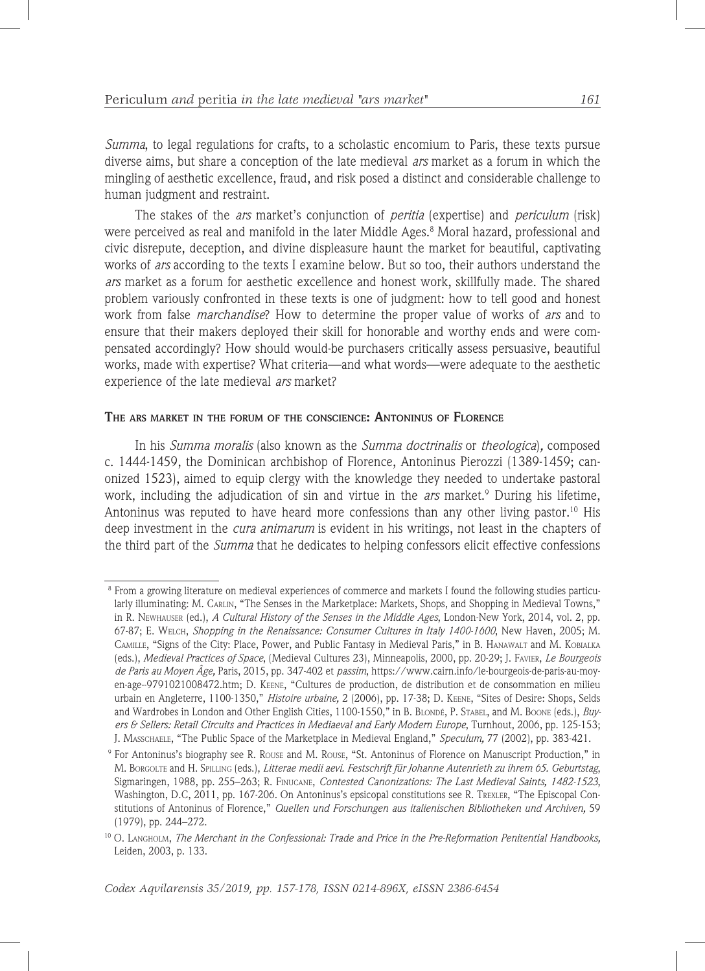*Summa*, to legal regulations for crafts, to a scholastic encomium to Paris, these texts pursue diverse aims, but share a conception of the late medieval *ars* market as a forum in which the mingling of aesthetic excellence, fraud, and risk posed a distinct and considerable challenge to human judgment and restraint.

The stakes of the *ars* market's conjunction of *peritia* (expertise) and *periculum* (risk) were perceived as real and manifold in the later Middle Ages.8 Moral hazard, professional and civic disrepute, deception, and divine displeasure haunt the market for beautiful, captivating works of *ars* according to the texts I examine below*.* But so too, their authors understand the *ars* market as a forum for aesthetic excellence and honest work, skillfully made. The shared problem variously confronted in these texts is one of judgment: how to tell good and honest work from false *marchandise*? How to determine the proper value of works of *ars* and to ensure that their makers deployed their skill for honorable and worthy ends and were compensated accordingly? How should would-be purchasers critically assess persuasive, beautiful works, made with expertise? What criteria—and what words—were adequate to the aesthetic experience of the late medieval *ars* market?

#### **The ars market in the forum of the conscience: Antoninus of Florence**

In his *Summa moralis* (also known as the *Summa doctrinalis* or *theologica*)*,* composed c. 1444-1459, the Dominican archbishop of Florence, Antoninus Pierozzi (1389-1459; canonized 1523), aimed to equip clergy with the knowledge they needed to undertake pastoral work, including the adjudication of sin and virtue in the *ars* market.<sup>9</sup> During his lifetime, Antoninus was reputed to have heard more confessions than any other living pastor.<sup>10</sup> His deep investment in the *cura animarum* is evident in his writings, not least in the chapters of the third part of the *Summa* that he dedicates to helping confessors elicit effective confessions

<sup>8</sup> From a growing literature on medieval experiences of commerce and markets I found the following studies particularly illuminating: M. CARLIN, "The Senses in the Marketplace: Markets, Shops, and Shopping in Medieval Towns," in R. Newhauser (ed.), *A Cultural History of the Senses in the Middle Ages*, London-New York, 2014, vol. 2, pp. 67-87; E. Welch, *Shopping in the Renaissance: Consumer Cultures in Italy 1400-1600*, New Haven, 2005; M. Camille, "Signs of the City: Place, Power, and Public Fantasy in Medieval Paris," in B. Hanawalt and M. Kobialka (eds.), *Medieval Practices of Space*, (Medieval Cultures 23), Minneapolis, 2000, pp. 20-29; J. Favier, *Le Bourgeois de Paris au Moyen Âge,* Paris, 2015, pp. 347-402 et *passim*, https://www.cairn.info/le-bourgeois-de-paris-au-moyen-age--9791021008472.htm; D. Keene, "Cultures de production, de distribution et de consommation en milieu urbain en Angleterre, 1100-1350," *Histoire urbaine,* 2 (2006), pp. 17-38; D. Keene, "Sites of Desire: Shops, Selds and Wardrobes in London and Other English Cities, 1100-1550," in B. BLONDÉ, P. STABEL, and M. BOONE (eds.), *Buyers & Sellers: Retail Circuits and Practices in Mediaeval and Early Modern Europe*, Turnhout, 2006, pp. 125-153; J. Masschaele, "The Public Space of the Marketplace in Medieval England," *Speculum,* 77 (2002), pp. 383-421.

<sup>9</sup> For Antoninus's biography see R. Rouse and M. Rouse, "St. Antoninus of Florence on Manuscript Production," in M. Borgolte and H. Spilling (eds.), *Litterae medii aevi. Festschrift für Johanne Autenrieth zu ihrem 65. Geburtstag*, Sigmaringen, 1988, pp. 255–263; R. Finucane, *Contested Canonizations: The Last Medieval Saints, 1482-1523*, Washington, D.C, 2011, pp. 167-206. On Antoninus's epsicopal constitutions see R. TREXLER, "The Episcopal Constitutions of Antoninus of Florence," *Quellen und Forschungen aus italienischen Bibliotheken und Archiven,* 59 (1979), pp. 244–272.

<sup>10</sup> O. Langholm, *The Merchant in the Confessional: Trade and Price in the Pre-Reformation Penitential Handbooks,* Leiden, 2003, p. 133.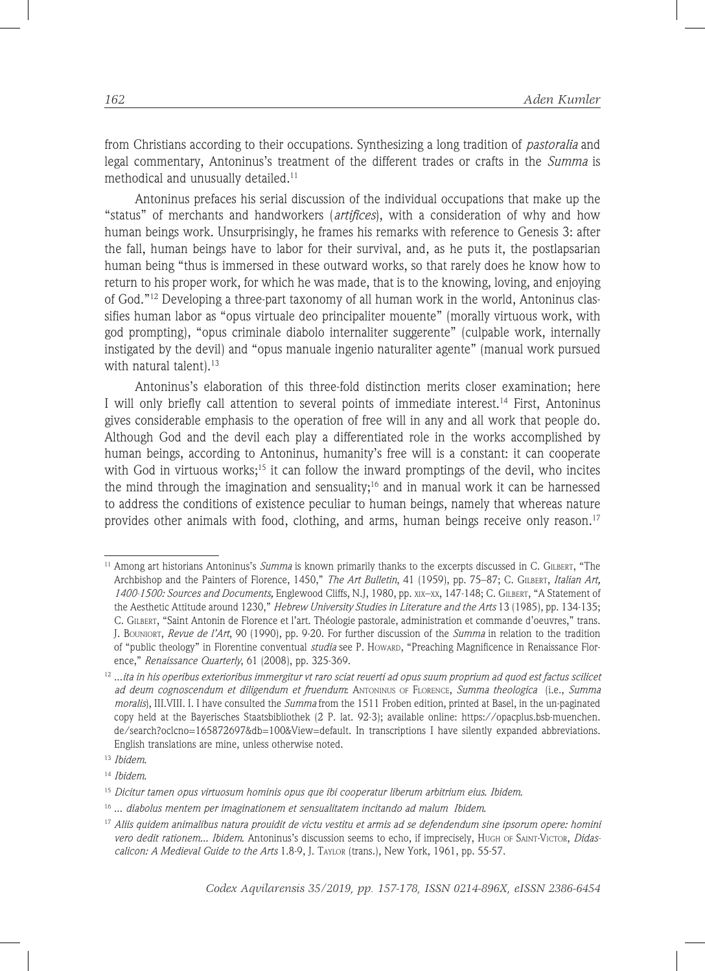from Christians according to their occupations. Synthesizing a long tradition of *pastoralia* and legal commentary, Antoninus's treatment of the different trades or crafts in the *Summa* is methodical and unusually detailed. $11$ 

Antoninus prefaces his serial discussion of the individual occupations that make up the "status" of merchants and handworkers (*artifices*), with a consideration of why and how human beings work. Unsurprisingly, he frames his remarks with reference to Genesis 3: after the fall, human beings have to labor for their survival, and, as he puts it, the postlapsarian human being "thus is immersed in these outward works, so that rarely does he know how to return to his proper work, for which he was made, that is to the knowing, loving, and enjoying of God."12 Developing a three-part taxonomy of all human work in the world, Antoninus classifies human labor as "opus virtuale deo principaliter mouente" (morally virtuous work, with god prompting), "opus criminale diabolo internaliter suggerente" (culpable work, internally instigated by the devil) and "opus manuale ingenio naturaliter agente" (manual work pursued with natural talent).<sup>13</sup>

Antoninus's elaboration of this three-fold distinction merits closer examination; here I will only briefly call attention to several points of immediate interest.<sup>14</sup> First, Antoninus gives considerable emphasis to the operation of free will in any and all work that people do. Although God and the devil each play a differentiated role in the works accomplished by human beings, according to Antoninus, humanity's free will is a constant: it can cooperate with God in virtuous works;<sup>15</sup> it can follow the inward promptings of the devil, who incites the mind through the imagination and sensuality;16 and in manual work it can be harnessed to address the conditions of existence peculiar to human beings, namely that whereas nature provides other animals with food, clothing, and arms, human beings receive only reason.17

<sup>11</sup> Among art historians Antoninus's *Summa* is known primarily thanks to the excerpts discussed in C. Gilbert, "The Archbishop and the Painters of Florence, 1450," *The Art Bulletin*, 41 (1959), pp. 75–87; C. Gilbert, *Italian Art, 1400-1500: Sources and Documents,* Englewood Cliffs, N.J, 1980, pp. xix–xx, 147-148; C. Gilbert, "A Statement of the Aesthetic Attitude around 1230," *Hebrew University Studies in Literature and the Arts* 13 (1985), pp. 134-135; C. Gilbert, "Saint Antonin de Florence et l'art. Théologie pastorale, administration et commande d'oeuvres," trans. J. Bouniort, *Revue de l'Art*, 90 (1990), pp. 9-20. For further discussion of the *Summa* in relation to the tradition of "public theology" in Florentine conventual *studia* see P. Howard, "Preaching Magnificence in Renaissance Florence," *Renaissance Quarterly*, 61 (2008), pp. 325-369.

<sup>12</sup> ...*ita in his operibus exterioribus immergitur vt raro sciat reuerti ad opus suum proprium ad quod est factus scilicet ad deum cognoscendum et diligendum et fruendum*: Antoninus of Florence, *Summa theologica* (i.e., *Summa moralis*), III.VIII. I. I have consulted the *Summa* from the 1511 Froben edition, printed at Basel, in the un-paginated copy held at the Bayerisches Staatsbibliothek (2 P. lat. 92-3); available online: https://opacplus.bsb-muenchen. de/search?oclcno=165872697&db=100&View=default. In transcriptions I have silently expanded abbreviations. English translations are mine, unless otherwise noted.

<sup>13</sup> *Ibidem*.

<sup>14</sup> *Ibidem*.

<sup>15</sup> *Dicitur tamen opus virtuosum hominis opus que ibi cooperatur liberum arbitrium eius*. *Ibidem*.

<sup>16 ...</sup> *diabolus mentem per imaginationem et sensualitatem incitando ad malum Ibidem*.

<sup>17</sup> *Aliis quidem animalibus natura prouidit de victu vestitu et armis ad se defendendum sine ipsorum opere: homini vero dedit rationem... Ibidem*. Antoninus's discussion seems to echo, if imprecisely, Hugh of Saint-Victor, *Didascalicon: A Medieval Guide to the Arts* 1.8-9, J. Taylor (trans.), New York, 1961, pp. 55-57.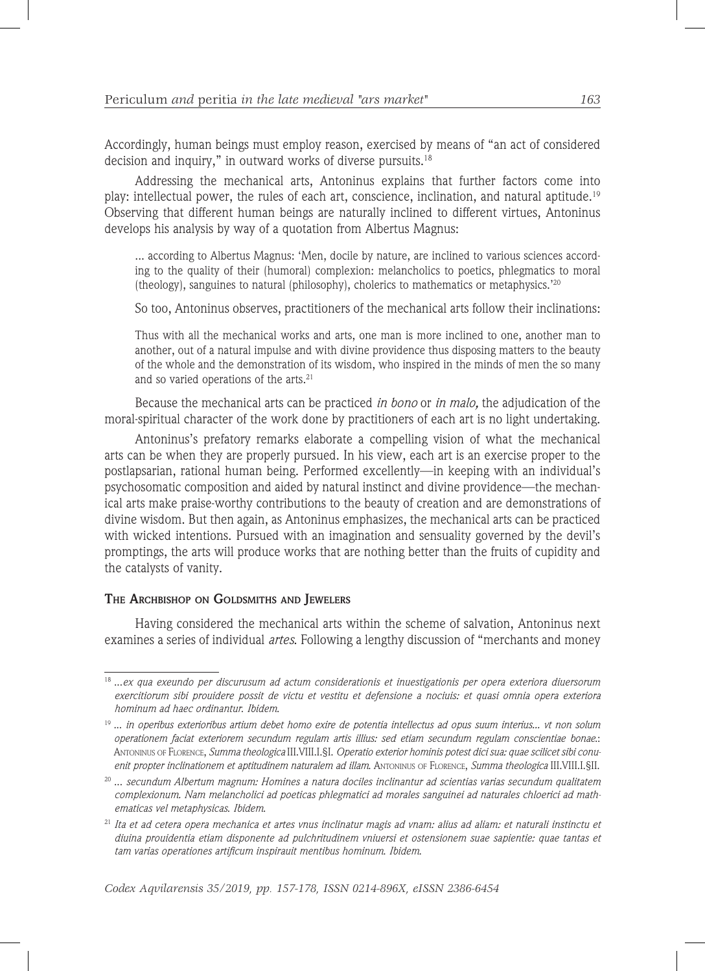Accordingly, human beings must employ reason, exercised by means of "an act of considered decision and inquiry," in outward works of diverse pursuits.<sup>18</sup>

Addressing the mechanical arts, Antoninus explains that further factors come into play: intellectual power, the rules of each art, conscience, inclination, and natural aptitude.19 Observing that different human beings are naturally inclined to different virtues, Antoninus develops his analysis by way of a quotation from Albertus Magnus:

... according to Albertus Magnus: 'Men, docile by nature, are inclined to various sciences according to the quality of their (humoral) complexion: melancholics to poetics, phlegmatics to moral (theology), sanguines to natural (philosophy), cholerics to mathematics or metaphysics.'20

So too, Antoninus observes, practitioners of the mechanical arts follow their inclinations:

Thus with all the mechanical works and arts, one man is more inclined to one, another man to another, out of a natural impulse and with divine providence thus disposing matters to the beauty of the whole and the demonstration of its wisdom, who inspired in the minds of men the so many and so varied operations of the arts.<sup>21</sup>

Because the mechanical arts can be practiced *in bono* or *in malo,* the adjudication of the moral-spiritual character of the work done by practitioners of each art is no light undertaking.

Antoninus's prefatory remarks elaborate a compelling vision of what the mechanical arts can be when they are properly pursued. In his view, each art is an exercise proper to the postlapsarian, rational human being. Performed excellently—in keeping with an individual's psychosomatic composition and aided by natural instinct and divine providence—the mechanical arts make praise-worthy contributions to the beauty of creation and are demonstrations of divine wisdom. But then again, as Antoninus emphasizes, the mechanical arts can be practiced with wicked intentions. Pursued with an imagination and sensuality governed by the devil's promptings, the arts will produce works that are nothing better than the fruits of cupidity and the catalysts of vanity.

#### **The Archbishop on Goldsmiths and Jewelers**

Having considered the mechanical arts within the scheme of salvation, Antoninus next examines a series of individual *artes*. Following a lengthy discussion of "merchants and money

<sup>18</sup> ...*ex qua exeundo per discurusum ad actum considerationis et inuestigationis per opera exteriora diuersorum exercitiorum sibi prouidere possit de victu et vestitu et defensione a nociuis: et quasi omnia opera exteriora hominum ad haec ordinantur*. *Ibidem*.

<sup>19</sup> ... *in operibus exterioribus artium debet homo exire de potentia intellectus ad opus suum interius... vt non solum operationem faciat exteriorem secundum regulam artis illius: sed etiam secundum regulam conscientiae bonae*.: Antoninus of Florence, *Summa theologica* III.VIII.I.§I. *Operatio exterior hominis potest dici sua: quae scilicet sibi conuenit propter inclinationem et aptitudinem naturalem ad illam*. Antoninus of Florence, *Summa theologica* III.VIII.I.§II.

<sup>20</sup> ... *secundum Albertum magnum: Homines a natura dociles inclinantur ad scientias varias secundum qualitatem complexionum. Nam melancholici ad poeticas phlegmatici ad morales sanguinei ad naturales chloerici ad mathematicas vel metaphysicas*. *Ibidem*.

<sup>21</sup> *Ita et ad cetera opera mechanica et artes vnus inclinatur magis ad vnam: alius ad aliam: et naturali instinctu et diuina prouidentia etiam disponente ad pulchritudinem vniuersi et ostensionem suae sapientie: quae tantas et tam varias operationes artificum inspirauit mentibus hominum*. *Ibidem*.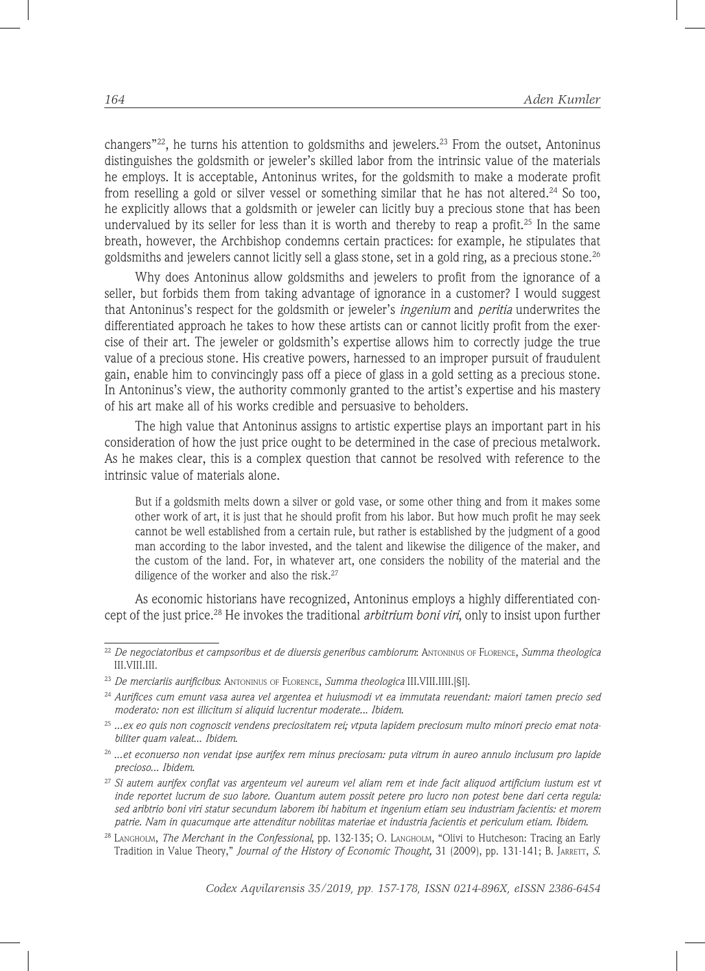changers"<sup>22</sup>, he turns his attention to goldsmiths and jewelers.<sup>23</sup> From the outset, Antoninus distinguishes the goldsmith or jeweler's skilled labor from the intrinsic value of the materials he employs. It is acceptable, Antoninus writes, for the goldsmith to make a moderate profit from reselling a gold or silver vessel or something similar that he has not altered.<sup>24</sup> So too, he explicitly allows that a goldsmith or jeweler can licitly buy a precious stone that has been undervalued by its seller for less than it is worth and thereby to reap a profit.<sup>25</sup> In the same breath, however, the Archbishop condemns certain practices: for example, he stipulates that goldsmiths and jewelers cannot licitly sell a glass stone, set in a gold ring, as a precious stone.<sup>26</sup>

Why does Antoninus allow goldsmiths and jewelers to profit from the ignorance of a seller, but forbids them from taking advantage of ignorance in a customer? I would suggest that Antoninus's respect for the goldsmith or jeweler's *ingenium* and *peritia* underwrites the differentiated approach he takes to how these artists can or cannot licitly profit from the exercise of their art. The jeweler or goldsmith's expertise allows him to correctly judge the true value of a precious stone. His creative powers, harnessed to an improper pursuit of fraudulent gain, enable him to convincingly pass off a piece of glass in a gold setting as a precious stone. In Antoninus's view, the authority commonly granted to the artist's expertise and his mastery of his art make all of his works credible and persuasive to beholders.

The high value that Antoninus assigns to artistic expertise plays an important part in his consideration of how the just price ought to be determined in the case of precious metalwork. As he makes clear, this is a complex question that cannot be resolved with reference to the intrinsic value of materials alone.

But if a goldsmith melts down a silver or gold vase, or some other thing and from it makes some other work of art, it is just that he should profit from his labor. But how much profit he may seek cannot be well established from a certain rule, but rather is established by the judgment of a good man according to the labor invested, and the talent and likewise the diligence of the maker, and the custom of the land. For, in whatever art, one considers the nobility of the material and the diligence of the worker and also the risk.<sup>27</sup>

As economic historians have recognized, Antoninus employs a highly differentiated concept of the just price.28 He invokes the traditional *arbitrium boni viri*, only to insist upon further

<sup>22</sup> *De negociatoribus et campsoribus et de diuersis generibus cambiorum*: Antoninus of Florence, *Summa theologica*  III.VIII.III.

<sup>23</sup> *De merciariis aurificibus*: Antoninus of Florence, *Summa theologica* III.VIII.IIII.[§I].

<sup>24</sup> *Aurifices cum emunt vasa aurea vel argentea et huiusmodi vt ea immutata reuendant: maiori tamen precio sed moderato: non est illicitum si aliquid lucrentur moderate..*. *Ibidem*.

<sup>25</sup> *...ex eo quis non cognoscit vendens preciositatem rei; vtputa lapidem preciosum multo minori precio emat notabiliter quam valeat*... *Ibidem*.

<sup>26</sup> ...*et econuerso non vendat ipse aurifex rem minus preciosam: puta vitrum in aureo annulo inclusum pro lapide precioso*... *Ibidem*.

<sup>27</sup> *Si autem aurifex conflat vas argenteum vel aureum vel aliam rem et inde facit aliquod artificium iustum est vt inde reportet lucrum de suo labore. Quantum autem possit petere pro lucro non potest bene dari certa regula: sed aribtrio boni viri statur secundum laborem ibi habitum et ingenium etiam seu industriam facientis: et morem patrie. Nam in quacumque arte attenditur nobilitas materiae et industria facientis et periculum etiam*. *Ibidem*.

<sup>28</sup> Langholm, *The Merchant in the Confessional*, pp. 132-135; O. Langholm, "Olivi to Hutcheson: Tracing an Early Tradition in Value Theory," *Journal of the History of Economic Thought*, 31 (2009), pp. 131-141; B. JARRETT, *S.*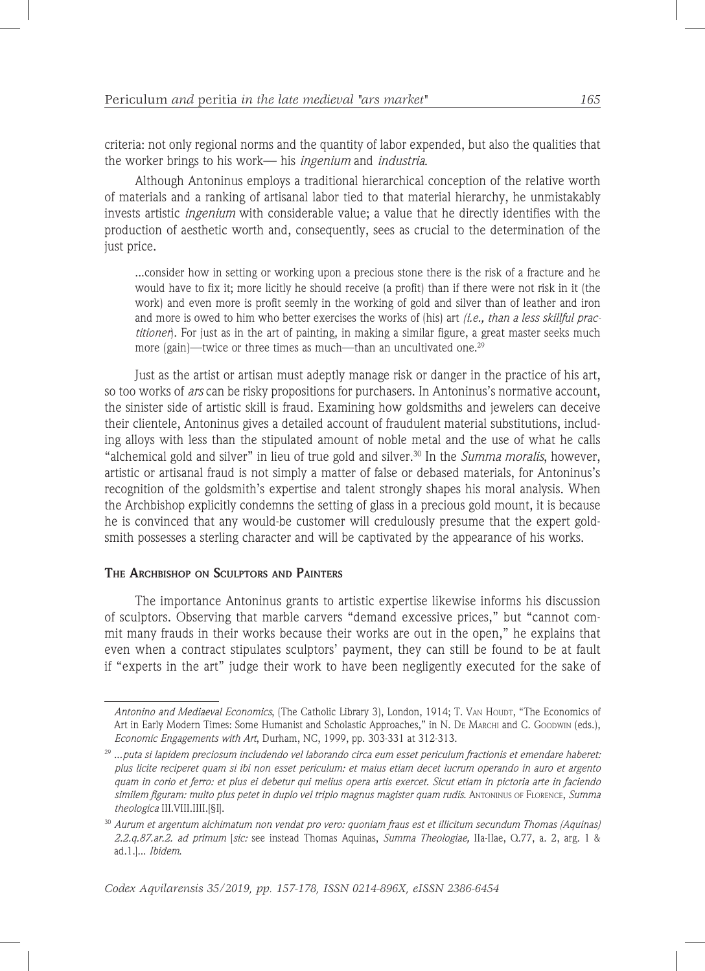criteria: not only regional norms and the quantity of labor expended, but also the qualities that the worker brings to his work— his *ingenium* and *industria*.

Although Antoninus employs a traditional hierarchical conception of the relative worth of materials and a ranking of artisanal labor tied to that material hierarchy, he unmistakably invests artistic *ingenium* with considerable value; a value that he directly identifies with the production of aesthetic worth and, consequently, sees as crucial to the determination of the just price.

...consider how in setting or working upon a precious stone there is the risk of a fracture and he would have to fix it; more licitly he should receive (a profit) than if there were not risk in it (the work) and even more is profit seemly in the working of gold and silver than of leather and iron and more is owed to him who better exercises the works of (his) art *(i.e., than a less skillful practitioner*). For just as in the art of painting, in making a similar figure, a great master seeks much more (gain)—twice or three times as much—than an uncultivated one.<sup>29</sup>

Just as the artist or artisan must adeptly manage risk or danger in the practice of his art, so too works of *ars* can be risky propositions for purchasers. In Antoninus's normative account, the sinister side of artistic skill is fraud. Examining how goldsmiths and jewelers can deceive their clientele, Antoninus gives a detailed account of fraudulent material substitutions, including alloys with less than the stipulated amount of noble metal and the use of what he calls "alchemical gold and silver" in lieu of true gold and silver.30 In the *Summa moralis*, however, artistic or artisanal fraud is not simply a matter of false or debased materials, for Antoninus's recognition of the goldsmith's expertise and talent strongly shapes his moral analysis. When the Archbishop explicitly condemns the setting of glass in a precious gold mount, it is because he is convinced that any would-be customer will credulously presume that the expert goldsmith possesses a sterling character and will be captivated by the appearance of his works.

### **The Archbishop on Sculptors and Painters**

The importance Antoninus grants to artistic expertise likewise informs his discussion of sculptors. Observing that marble carvers "demand excessive prices," but "cannot commit many frauds in their works because their works are out in the open," he explains that even when a contract stipulates sculptors' payment, they can still be found to be at fault if "experts in the art" judge their work to have been negligently executed for the sake of

Antonino and Mediaeval Economics, (The Catholic Library 3), London, 1914; T. VAN HOUDT, "The Economics of Art in Early Modern Times: Some Humanist and Scholastic Approaches," in N. DE MARCHI and C. GOODWIN (eds.), *Economic Engagements with Art*, Durham, NC, 1999, pp. 303-331 at 312-313.

<sup>29</sup> ...*puta si lapidem preciosum includendo vel laborando circa eum esset periculum fractionis et emendare haberet: plus licite reciperet quam si ibi non esset periculum: et maius etiam decet lucrum operando in auro et argento quam in corio et ferro: et plus ei debetur qui melius opera artis exercet. Sicut etiam in pictoria arte in faciendo similem figuram: multo plus petet in duplo vel triplo magnus magister quam rudis*. Antoninus of Florence, *Summa theologica* III.VIII.IIII.[§I].

<sup>30</sup> *Aurum et argentum alchimatum non vendat pro vero: quoniam fraus est et illicitum secundum Thomas (Aquinas) 2.2.q.87.ar.2. ad primum* [*sic:* see instead Thomas Aquinas, *Summa Theologiae,* IIa-IIae, Q.77, a. 2, arg. 1 & ad.1.]... *Ibidem*.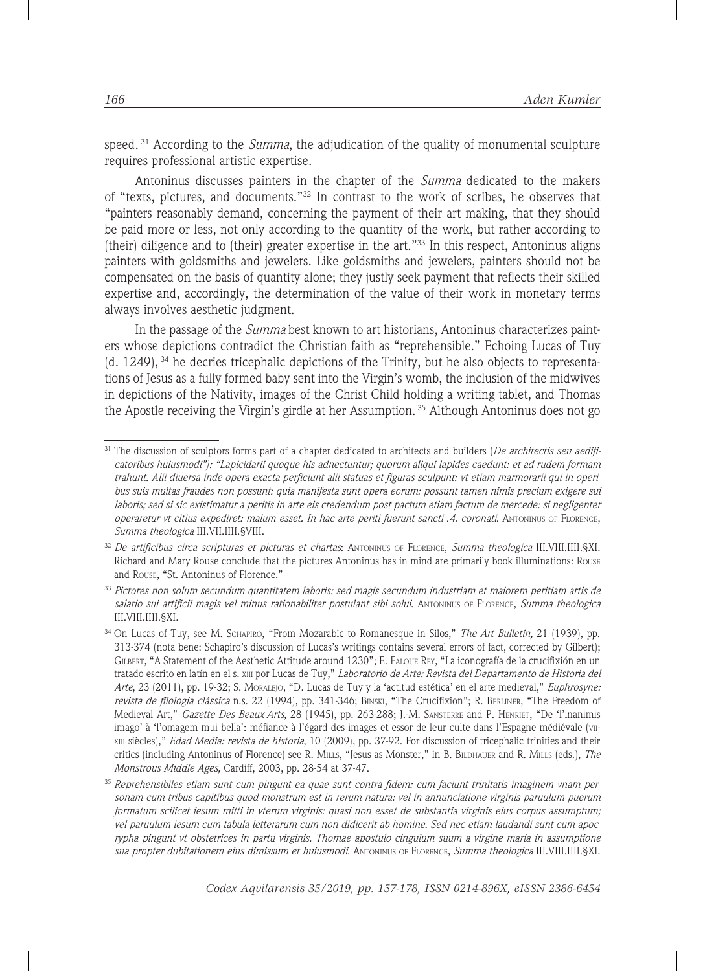speed. 31 According to the *Summa*, the adjudication of the quality of monumental sculpture requires professional artistic expertise.

Antoninus discusses painters in the chapter of the *Summa* dedicated to the makers of "texts, pictures, and documents."32 In contrast to the work of scribes, he observes that "painters reasonably demand, concerning the payment of their art making, that they should be paid more or less, not only according to the quantity of the work, but rather according to (their) diligence and to (their) greater expertise in the art."33 In this respect, Antoninus aligns painters with goldsmiths and jewelers. Like goldsmiths and jewelers, painters should not be compensated on the basis of quantity alone; they justly seek payment that reflects their skilled expertise and, accordingly, the determination of the value of their work in monetary terms always involves aesthetic judgment.

In the passage of the *Summa* best known to art historians, Antoninus characterizes painters whose depictions contradict the Christian faith as "reprehensible." Echoing Lucas of Tuy (d. 1249), 34 he decries tricephalic depictions of the Trinity, but he also objects to representations of Jesus as a fully formed baby sent into the Virgin's womb, the inclusion of the midwives in depictions of the Nativity, images of the Christ Child holding a writing tablet, and Thomas the Apostle receiving the Virgin's girdle at her Assumption. 35 Although Antoninus does not go

<sup>&</sup>lt;sup>31</sup> The discussion of sculptors forms part of a chapter dedicated to architects and builders (*De architectis seu aedificatoribus huiusmodi"): "Lapicidarii quoque his adnectuntur; quorum aliqui lapides caedunt: et ad rudem formam trahunt. Alii diuersa inde opera exacta perficiunt alii statuas et figuras sculpunt: vt etiam marmorarii qui in operibus suis multas fraudes non possunt: quia manifesta sunt opera eorum: possunt tamen nimis precium exigere sui laboris; sed si sic existimatur a peritis in arte eis credendum post pactum etiam factum de mercede: si negligenter operaretur vt citius expediret: malum esset. In hac arte periti fuerunt sancti .4. coronati*. Antoninus of Florence, *Summa theologica* III.VII.IIII.§VIII.

<sup>32</sup> *De artificibus circa scripturas et picturas et chartas*: Antoninus of Florence, *Summa theologica* III.VIII.IIII.§XI. Richard and Mary Rouse conclude that the pictures Antoninus has in mind are primarily book illuminations: Rouse and Rouse, "St. Antoninus of Florence."

<sup>33</sup> *Pictores non solum secundum quantitatem laboris: sed magis secundum industriam et maiorem peritiam artis de salario sui artificii magis vel minus rationabiliter postulant sibi solui*. Antoninus of Florence, *Summa theologica* III.VIII.IIII.§XI.

<sup>34</sup> On Lucas of Tuy, see M. Schapiro, "From Mozarabic to Romanesque in Silos," *The Art Bulletin,* 21 (1939), pp. 313-374 (nota bene: Schapiro's discussion of Lucas's writings contains several errors of fact, corrected by Gilbert); Gilbert, "A Statement of the Aesthetic Attitude around 1230"; E. Falque Rey, "La iconografía de la crucifixión en un tratado escrito en latín en el s. xiii por Lucas de Tuy," *Laboratorio de Arte: Revista del Departamento de Historia del Arte*, 23 (2011), pp. 19-32; S. Moralejo, "D. Lucas de Tuy y la 'actitud estética' en el arte medieval," *Euphrosyne: revista de filologia clássica* n.s. 22 (1994), pp. 341-346; Binski, "The Crucifixion"; R. Berliner, "The Freedom of Medieval Art," *Gazette Des Beaux-Arts,* 28 (1945), pp. 263-288; J.-M. Sansterre and P. Henriet, "De 'l'inanimis imago' à 'l'omagem mui bella': méfiance à l'égard des images et essor de leur culte dans l'Espagne médiévale (viixiii siècles)," *Edad Media: revista de historia*, 10 (2009), pp. 37-92. For discussion of tricephalic trinities and their critics (including Antoninus of Florence) see R. Mills, "Jesus as Monster," in B. Bildhauer and R. Mills (eds.), *The Monstrous Middle Ages,* Cardiff, 2003, pp. 28-54 at 37-47.

<sup>35</sup> *Reprehensibiles etiam sunt cum pingunt ea quae sunt contra fidem: cum faciunt trinitatis imaginem vnam personam cum tribus capitibus quod monstrum est in rerum natura: vel in annunciatione virginis paruulum puerum formatum scilicet iesum mitti in vterum virginis: quasi non esset de substantia virginis eius corpus assumptum; vel paruulum iesum cum tabula letterarum cum non didicerit ab homine. Sed nec etiam laudandi sunt cum apocrypha pingunt vt obstetrices in partu virginis. Thomae apostulo cingulum suum a virgine maria in assumptione sua propter dubitationem eius dimissum et huiusmodi*. Antoninus of Florence, *Summa theologica* III.VIII.IIII.§XI.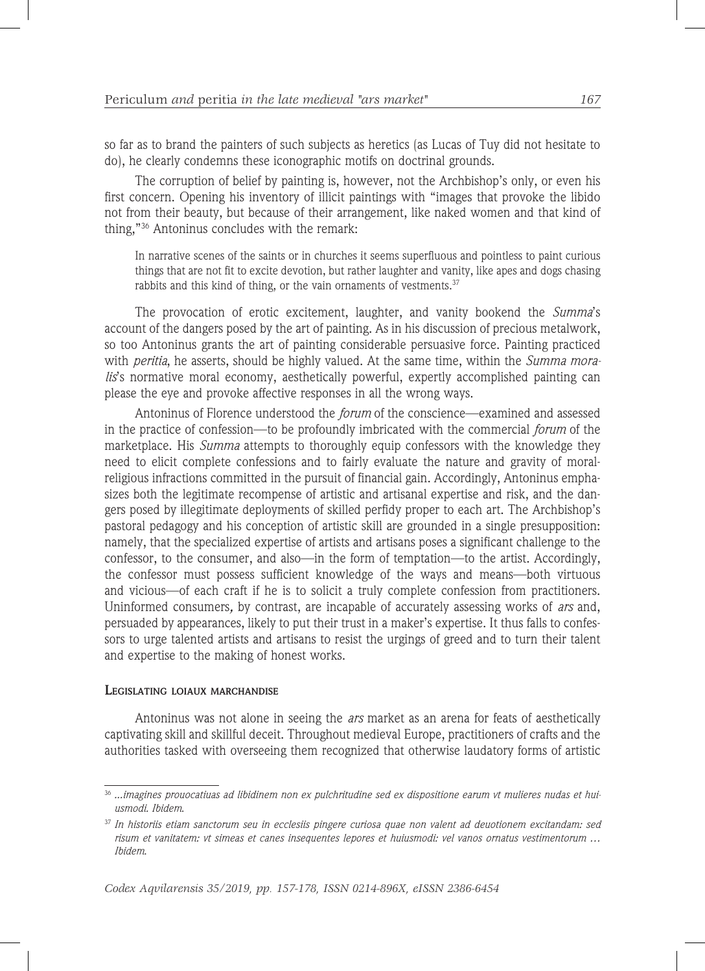so far as to brand the painters of such subjects as heretics (as Lucas of Tuy did not hesitate to do), he clearly condemns these iconographic motifs on doctrinal grounds.

The corruption of belief by painting is, however, not the Archbishop's only, or even his first concern. Opening his inventory of illicit paintings with "images that provoke the libido not from their beauty, but because of their arrangement, like naked women and that kind of thing,"36 Antoninus concludes with the remark:

In narrative scenes of the saints or in churches it seems superfluous and pointless to paint curious things that are not fit to excite devotion, but rather laughter and vanity, like apes and dogs chasing rabbits and this kind of thing, or the vain ornaments of vestments.<sup>37</sup>

The provocation of erotic excitement, laughter, and vanity bookend the *Summa*'s account of the dangers posed by the art of painting. As in his discussion of precious metalwork, so too Antoninus grants the art of painting considerable persuasive force. Painting practiced with *peritia*, he asserts, should be highly valued. At the same time, within the *Summa moralis*'s normative moral economy, aesthetically powerful, expertly accomplished painting can please the eye and provoke affective responses in all the wrong ways.

Antoninus of Florence understood the *forum* of the conscience—examined and assessed in the practice of confession—to be profoundly imbricated with the commercial *forum* of the marketplace. His *Summa* attempts to thoroughly equip confessors with the knowledge they need to elicit complete confessions and to fairly evaluate the nature and gravity of moralreligious infractions committed in the pursuit of financial gain. Accordingly, Antoninus emphasizes both the legitimate recompense of artistic and artisanal expertise and risk, and the dangers posed by illegitimate deployments of skilled perfidy proper to each art. The Archbishop's pastoral pedagogy and his conception of artistic skill are grounded in a single presupposition: namely, that the specialized expertise of artists and artisans poses a significant challenge to the confessor, to the consumer, and also—in the form of temptation—to the artist. Accordingly, the confessor must possess sufficient knowledge of the ways and means—both virtuous and vicious—of each craft if he is to solicit a truly complete confession from practitioners. Uninformed consumers*,* by contrast, are incapable of accurately assessing works of *ars* and, persuaded by appearances, likely to put their trust in a maker's expertise. It thus falls to confessors to urge talented artists and artisans to resist the urgings of greed and to turn their talent and expertise to the making of honest works.

#### **Legislating loiaux marchandise**

Antoninus was not alone in seeing the *ars* market as an arena for feats of aesthetically captivating skill and skillful deceit. Throughout medieval Europe, practitioners of crafts and the authorities tasked with overseeing them recognized that otherwise laudatory forms of artistic

<sup>36</sup> *...imagines prouocatiuas ad libidinem non ex pulchritudine sed ex dispositione earum vt mulieres nudas et huiusmodi. Ibidem*.

<sup>37</sup> *In historiis etiam sanctorum seu in ecclesiis pingere curiosa quae non valent ad deuotionem excitandam: sed risum et vanitatem: vt simeas et canes insequentes lepores et huiusmodi: vel vanos ornatus vestimentorum … Ibidem*.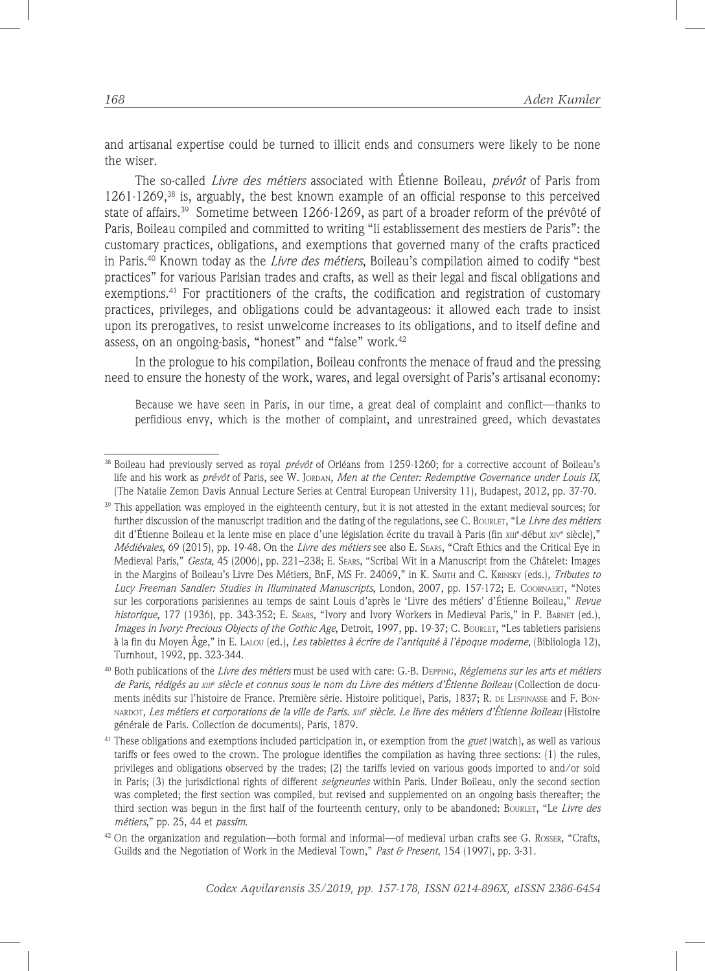and artisanal expertise could be turned to illicit ends and consumers were likely to be none the wiser.

The so-called *Livre des métiers* associated with Étienne Boileau, *prévôt* of Paris from  $1261-1269$ ,<sup>38</sup> is, arguably, the best known example of an official response to this perceived state of affairs.<sup>39</sup> Sometime between 1266-1269, as part of a broader reform of the prévôté of Paris, Boileau compiled and committed to writing "li establissement des mestiers de Paris": the customary practices, obligations, and exemptions that governed many of the crafts practiced in Paris.40 Known today as the *Livre des métiers*, Boileau's compilation aimed to codify "best practices" for various Parisian trades and crafts, as well as their legal and fiscal obligations and exemptions.<sup>41</sup> For practitioners of the crafts, the codification and registration of customary practices, privileges, and obligations could be advantageous: it allowed each trade to insist upon its prerogatives, to resist unwelcome increases to its obligations, and to itself define and assess, on an ongoing-basis, "honest" and "false" work.<sup>42</sup>

In the prologue to his compilation, Boileau confronts the menace of fraud and the pressing need to ensure the honesty of the work, wares, and legal oversight of Paris's artisanal economy:

Because we have seen in Paris, in our time, a great deal of complaint and conflict—thanks to perfidious envy, which is the mother of complaint, and unrestrained greed, which devastates

<sup>38</sup> Boileau had previously served as royal *prévôt* of Orléans from 1259-1260; for a corrective account of Boileau's life and his work as *prévôt* of Paris, see W. Jordan, *Men at the Center: Redemptive Governance under Louis IX*, (The Natalie Zemon Davis Annual Lecture Series at Central European University 11), Budapest, 2012, pp. 37-70.

 $39$  This appellation was employed in the eighteenth century, but it is not attested in the extant medieval sources; for further discussion of the manuscript tradition and the dating of the regulations, see C. Bourlet, "Le *Livre des métiers* dit d'Étienne Boileau et la lente mise en place d'une législation écrite du travail à Paris (fin xш<sup>e</sup>-début xiv<sup>e</sup> siècle)," *Médiévales*, 69 (2015), pp. 19-48. On the *Livre des métiers* see also E. Sears, "Craft Ethics and the Critical Eye in Medieval Paris," *Gesta*, 45 (2006), pp. 221–238; E. Sears, "Scribal Wit in a Manuscript from the Châtelet: Images in the Margins of Boileau's Livre Des Métiers, BnF, MS Fr. 24069," in K. Smith and C. Krinsky (eds.), *Tributes to Lucy Freeman Sandler: Studies in Illuminated Manuscripts*, London, 2007, pp. 157-172; E. Coornaert, "Notes sur les corporations parisiennes au temps de saint Louis d'après le 'Livre des métiers' d'Étienne Boileau," *Revue historique,* 177 (1936), pp. 343-352; E. Sears, "Ivory and Ivory Workers in Medieval Paris," in P. Barnet (ed.), *Images in Ivory: Precious Objects of the Gothic Age*, Detroit, 1997, pp. 19-37; C. Bourlet, "Les tabletiers parisiens à la fin du Moyen Âge," in E. Lalou (ed.), *Les tablettes à écrire de l'antiquité à l'époque moderne*, (Bibliologia 12), Turnhout, 1992, pp. 323-344.

<sup>40</sup> Both publications of the *Livre des métiers* must be used with care: G.-B. Depping, *Réglemens sur les arts et métiers de Paris, rédigés au xiii<sup>e</sup> siècle et connus sous le nom du Livre des métiers d'Étienne Boileau* (Collection de documents inédits sur l'histoire de France. Première série. Histoire politique), Paris, 1837; R. de Lespinasse and F. Bonnardot, *Les métiers et corporations de la ville de Paris. xiii<sup>e</sup> siècle. Le livre des métiers d'Étienne Boileau* (Histoire générale de Paris. Collection de documents), Paris, 1879.

<sup>41</sup> These obligations and exemptions included participation in, or exemption from the *guet* (watch), as well as various tariffs or fees owed to the crown. The prologue identifies the compilation as having three sections: (1) the rules, privileges and obligations observed by the trades; (2) the tariffs levied on various goods imported to and/or sold in Paris; (3) the jurisdictional rights of different *seigneuries* within Paris. Under Boileau, only the second section was completed; the first section was compiled, but revised and supplemented on an ongoing basis thereafter; the third section was begun in the first half of the fourteenth century, only to be abandoned: Bourlet, "Le *Livre des métiers*," pp. 25, 44 et *passim*.

 $42$  On the organization and regulation—both formal and informal—of medieval urban crafts see G. Rosser, "Crafts, Guilds and the Negotiation of Work in the Medieval Town," *Past & Present*, 154 (1997), pp. 3-31.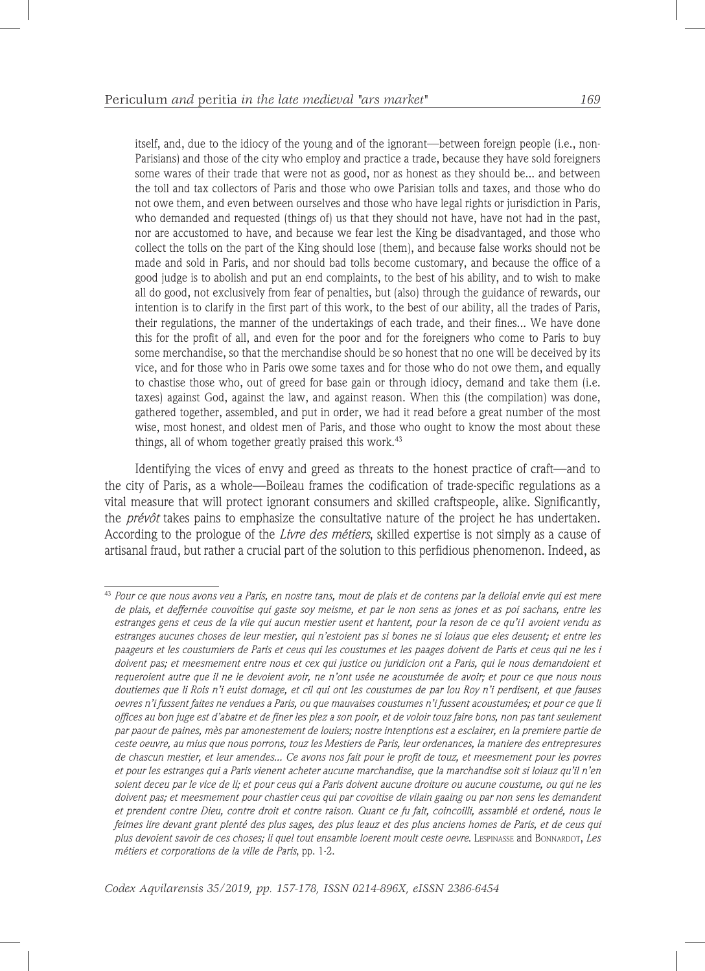itself, and, due to the idiocy of the young and of the ignorant—between foreign people (i.e., non-Parisians) and those of the city who employ and practice a trade, because they have sold foreigners some wares of their trade that were not as good, nor as honest as they should be... and between the toll and tax collectors of Paris and those who owe Parisian tolls and taxes, and those who do not owe them, and even between ourselves and those who have legal rights or jurisdiction in Paris, who demanded and requested (things of) us that they should not have, have not had in the past, nor are accustomed to have, and because we fear lest the King be disadvantaged, and those who collect the tolls on the part of the King should lose (them), and because false works should not be made and sold in Paris, and nor should bad tolls become customary, and because the office of a good judge is to abolish and put an end complaints, to the best of his ability, and to wish to make all do good, not exclusively from fear of penalties, but (also) through the guidance of rewards, our intention is to clarify in the first part of this work, to the best of our ability, all the trades of Paris, their regulations, the manner of the undertakings of each trade, and their fines... We have done this for the profit of all, and even for the poor and for the foreigners who come to Paris to buy some merchandise, so that the merchandise should be so honest that no one will be deceived by its vice, and for those who in Paris owe some taxes and for those who do not owe them, and equally to chastise those who, out of greed for base gain or through idiocy, demand and take them (i.e. taxes) against God, against the law, and against reason. When this (the compilation) was done, gathered together, assembled, and put in order, we had it read before a great number of the most wise, most honest, and oldest men of Paris, and those who ought to know the most about these things, all of whom together greatly praised this work.<sup>43</sup>

Identifying the vices of envy and greed as threats to the honest practice of craft—and to the city of Paris, as a whole—Boileau frames the codification of trade-specific regulations as a vital measure that will protect ignorant consumers and skilled craftspeople, alike. Significantly, the *prévôt* takes pains to emphasize the consultative nature of the project he has undertaken. According to the prologue of the *Livre des métiers*, skilled expertise is not simply as a cause of artisanal fraud, but rather a crucial part of the solution to this perfidious phenomenon. Indeed, as

<sup>43</sup> *Pour ce que nous avons veu a Paris, en nostre tans, mout de plais et de contens par la delloial envie qui est mere de plais, et deffernée couvoitise qui gaste soy meisme, et par le non sens as jones et as poi sachans, entre les estranges gens et ceus de la vile qui aucun mestier usent et hantent, pour la reson de ce qu'i1 avoient vendu as estranges aucunes choses de leur mestier, qui n'estoient pas si bones ne si loiaus que eles deusent; et entre les paageurs et les coustumiers de Paris et ceus qui les coustumes et les paages doivent de Paris et ceus qui ne les i doivent pas; et meesmement entre nous et cex qui justice ou juridicion ont a Paris, qui le nous demandoient et requeroient autre que il ne le devoient avoir, ne n'ont usée ne acoustumée de avoir; et pour ce que nous nous doutiemes que li Rois n'i euist domage, et cil qui ont les coustumes de par lou Roy n'i perdisent, et que fauses oevres n'i fussent faites ne vendues a Paris, ou que mauvaises coustumes n'i fussent acoustumées; et pour ce que li offices au bon juge est d'abatre et de finer les plez a son pooir, et de voloir touz faire bons, non pas tant seulement par paour de paines, mès par amonestement de louiers; nostre intenptions est a esclairer, en la premiere partie de ceste oeuvre, au mius que nous porrons, touz les Mestiers de Paris, leur ordenances, la maniere des entrepresures de chascun mestier, et leur amendes... Ce avons nos fait pour le profit de touz, et meesmement pour les povres et pour les estranges qui a Paris vienent acheter aucune marchandise, que la marchandise soit si loiauz qu'il n'en soient deceu par le vice de li; et pour ceus qui a Paris doivent aucune droiture ou aucune coustume, ou qui ne les doivent pas; et meesmement pour chastier ceus qui par covoitise de vilain gaaing ou par non sens les demandent et prendent contre Dieu, contre droit et contre raison. Quant ce fu fait, coincoilli, assamblé et ordené, nous le feimes lire devant grant plenté des plus sages, des plus leauz et des plus anciens homes de Paris, et de ceus qui plus devoient savoir de ces choses; li quel tout ensamble loerent moult ceste oevre*. LESPINASSE and BONNARDOT, *Les métiers et corporations de la ville de Paris*, pp. 1-2.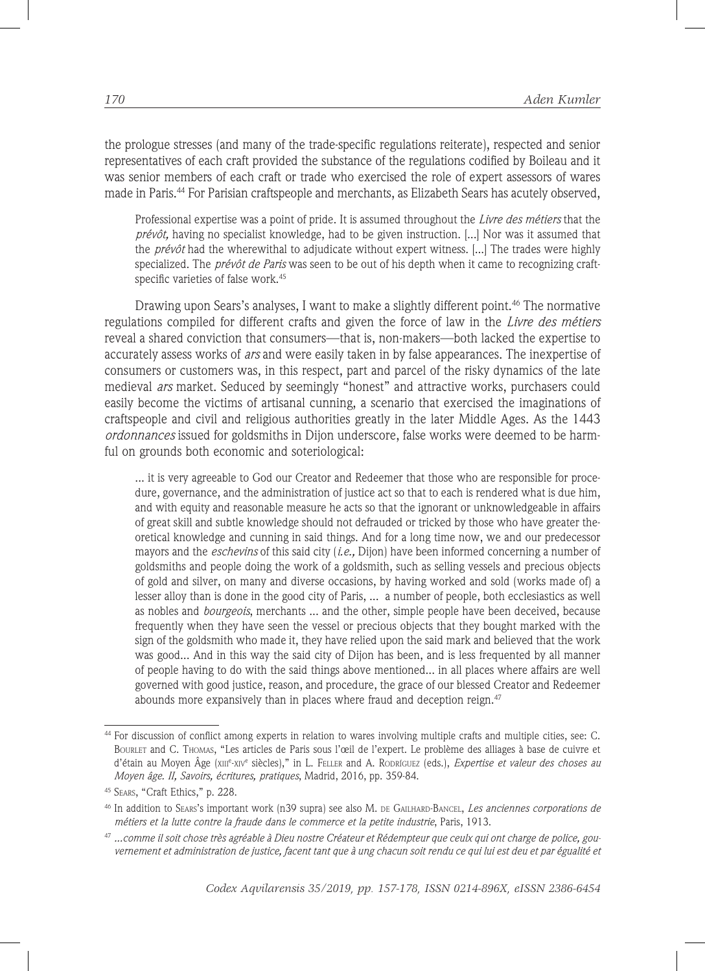the prologue stresses (and many of the trade-specific regulations reiterate), respected and senior representatives of each craft provided the substance of the regulations codified by Boileau and it was senior members of each craft or trade who exercised the role of expert assessors of wares made in Paris.<sup>44</sup> For Parisian craftspeople and merchants, as Elizabeth Sears has acutely observed.

Professional expertise was a point of pride. It is assumed throughout the *Livre des métiers* that the *prévôt,* having no specialist knowledge, had to be given instruction. [...] Nor was it assumed that the *prévôt* had the wherewithal to adjudicate without expert witness. [...] The trades were highly specialized. The *prévôt de Paris* was seen to be out of his depth when it came to recognizing craftspecific varieties of false work.<sup>45</sup>

Drawing upon Sears's analyses, I want to make a slightly different point.46 The normative regulations compiled for different crafts and given the force of law in the *Livre des métiers* reveal a shared conviction that consumers—that is, non-makers—both lacked the expertise to accurately assess works of *ars* and were easily taken in by false appearances. The inexpertise of consumers or customers was, in this respect, part and parcel of the risky dynamics of the late medieval *ars* market. Seduced by seemingly "honest" and attractive works, purchasers could easily become the victims of artisanal cunning, a scenario that exercised the imaginations of craftspeople and civil and religious authorities greatly in the later Middle Ages. As the 1443 *ordonnances* issued for goldsmiths in Dijon underscore, false works were deemed to be harmful on grounds both economic and soteriological:

... it is very agreeable to God our Creator and Redeemer that those who are responsible for procedure, governance, and the administration of justice act so that to each is rendered what is due him, and with equity and reasonable measure he acts so that the ignorant or unknowledgeable in affairs of great skill and subtle knowledge should not defrauded or tricked by those who have greater theoretical knowledge and cunning in said things. And for a long time now, we and our predecessor mayors and the *eschevins* of this said city (*i.e.,* Dijon) have been informed concerning a number of goldsmiths and people doing the work of a goldsmith, such as selling vessels and precious objects of gold and silver, on many and diverse occasions, by having worked and sold (works made of) a lesser alloy than is done in the good city of Paris, ... a number of people, both ecclesiastics as well as nobles and *bourgeois*, merchants ... and the other, simple people have been deceived, because frequently when they have seen the vessel or precious objects that they bought marked with the sign of the goldsmith who made it, they have relied upon the said mark and believed that the work was good... And in this way the said city of Dijon has been, and is less frequented by all manner of people having to do with the said things above mentioned... in all places where affairs are well governed with good justice, reason, and procedure, the grace of our blessed Creator and Redeemer abounds more expansively than in places where fraud and deception reign.<sup>47</sup>

<sup>44</sup> For discussion of conflict among experts in relation to wares involving multiple crafts and multiple cities, see: C. Bourlet and C. Thomas, "Les articles de Paris sous l'œil de l'expert. Le problème des alliages à base de cuivre et d'étain au Moyen Âge (xiii<sup>e</sup>-xiv<sup>e</sup> siècles)," in L. Feller and A. Rodríguez (eds.), *Expertise et valeur des choses au Moyen âge. II, Savoirs, écritures, pratiques*, Madrid, 2016, pp. 359-84.

<sup>45</sup> Sears, "Craft Ethics," p. 228.

<sup>46</sup> In addition to Sears's important work (n39 supra) see also M. de Gailhard-Bancel, *Les anciennes corporations de métiers et la lutte contre la fraude dans le commerce et la petite industrie*, Paris, 1913.

<sup>47</sup> *...comme il soit chose très agréable à Dieu nostre Créateur et Rédempteur que ceulx qui ont charge de police, gouvernement et administration de justice, facent tant que à ung chacun soit rendu ce qui lui est deu et par égualité et*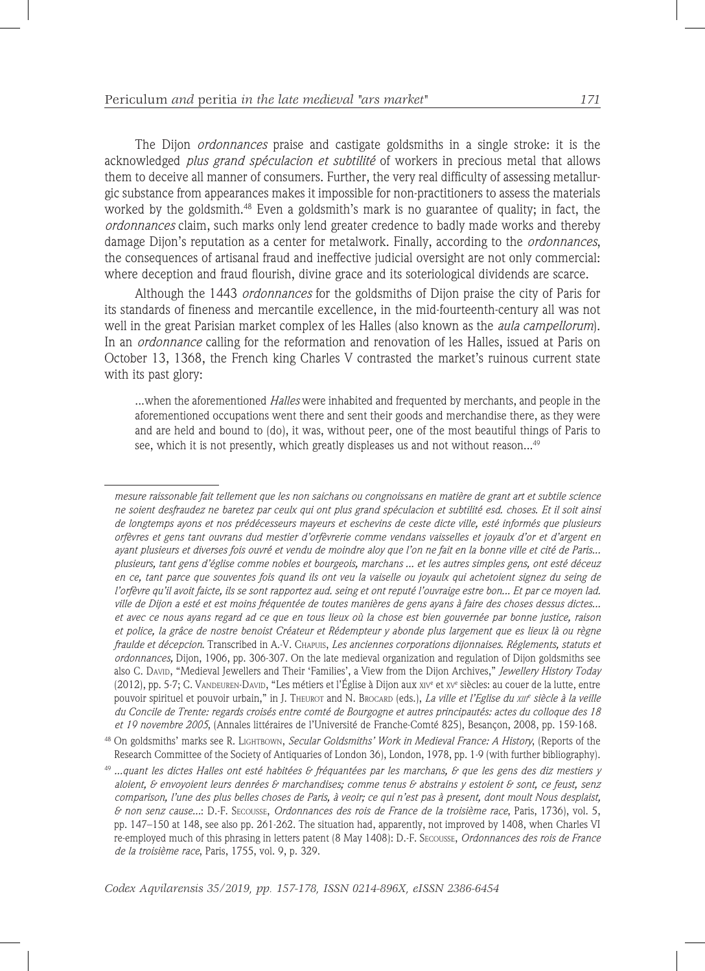The Dijon *ordonnances* praise and castigate goldsmiths in a single stroke: it is the acknowledged *plus grand spéculacion et subtilité* of workers in precious metal that allows them to deceive all manner of consumers. Further, the very real difficulty of assessing metallurgic substance from appearances makes it impossible for non-practitioners to assess the materials worked by the goldsmith.<sup>48</sup> Even a goldsmith's mark is no guarantee of quality; in fact, the *ordonnances* claim, such marks only lend greater credence to badly made works and thereby damage Dijon's reputation as a center for metalwork. Finally, according to the *ordonnances*, the consequences of artisanal fraud and ineffective judicial oversight are not only commercial: where deception and fraud flourish, divine grace and its soteriological dividends are scarce.

Although the 1443 *ordonnances* for the goldsmiths of Dijon praise the city of Paris for its standards of fineness and mercantile excellence, in the mid-fourteenth-century all was not well in the great Parisian market complex of les Halles (also known as the *aula campellorum*). In an *ordonnance* calling for the reformation and renovation of les Halles, issued at Paris on October 13, 1368, the French king Charles V contrasted the market's ruinous current state with its past glory:

...when the aforementioned *Halles* were inhabited and frequented by merchants, and people in the aforementioned occupations went there and sent their goods and merchandise there, as they were and are held and bound to (do), it was, without peer, one of the most beautiful things of Paris to see, which it is not presently, which greatly displeases us and not without reason...<sup>49</sup>

*mesure raissonable fait tellement que les non saichans ou congnoissans en matière de grant art et subtile science ne soient desfraudez ne baretez par ceulx qui ont plus grand spéculacion et subtilité esd. choses. Et il soit ainsi de longtemps ayons et nos prédécesseurs mayeurs et eschevins de ceste dicte ville, esté informés que plusieurs orfèvres et gens tant ouvrans dud mestier d'orfèvrerie comme vendans vaisselles et joyaulx d'or et d'argent en ayant plusieurs et diverses fois ouvré et vendu de moindre aloy que l'on ne fait en la bonne ville et cité de Paris... plusieurs, tant gens d'église comme nobles et bourgeois, marchans ... et les autres simples gens, ont esté déceuz en ce, tant parce que souventes fois quand ils ont veu la vaiselle ou joyaulx qui achetoient signez du seing de l'orfèvre qu'il avoit faicte, ils se sont rapportez aud. seing et ont reputé l'ouvraige estre bon... Et par ce moyen lad. ville de Dijon a esté et est moins fréquentée de toutes manières de gens ayans à faire des choses dessus dictes... et avec ce nous ayans regard ad ce que en tous lieux où la chose est bien gouvernée par bonne justice, raison et police, la grâce de nostre benoist Créateur et Rédempteur y abonde plus largement que es lieux là ou règne fraulde et décepcion*. Transcribed in A.-V. Chapuis, *Les anciennes corporations dijonnaises. Réglements, statuts et ordonnances,* Dijon, 1906, pp. 306-307. On the late medieval organization and regulation of Dijon goldsmiths see also C. David, "Medieval Jewellers and Their 'Families', a View from the Dijon Archives," *Jewellery History Today* (2012), pp. 5-7; C. Vandeuren-David, "Les métiers et l'Église à Dijon aux xiv<sup>e</sup> et xv<sup>e</sup> siècles: au couer de la lutte, entre pouvoir spirituel et pouvoir urbain," in J. Theurot and N. Brocarp (eds.), *La ville et l'Eglise du xiif siècle à la veille du Concile de Trente: regards croisés entre comté de Bourgogne et autres principautés: actes du colloque des 18 et 19 novembre 2005*, (Annales littéraires de l'Université de Franche-Comté 825), Besançon, 2008, pp. 159-168.

<sup>48</sup> On goldsmiths' marks see R. Lightbown, *Secular Goldsmiths' Work in Medieval France: A History*, (Reports of the Research Committee of the Society of Antiquaries of London 36), London, 1978, pp. 1-9 (with further bibliography).

<sup>49</sup> *...quant les dictes Halles ont esté habitées & fréquantées par les marchans, & que les gens des diz mestiers y aloient, & envoyoient leurs denrées & marchandises; comme tenus & abstrains y estoient & sont, ce feust, senz comparison, l'une des plus belles choses de Paris, à veoir; ce qui n'est pas à present, dont moult Nous desplaist, & non senz cause...*: D.-F. Secousse, *Ordonnances des rois de France de la troisième race*, Paris, 1736), vol. 5, pp. 147–150 at 148, see also pp. 261-262. The situation had, apparently, not improved by 1408, when Charles VI re-employed much of this phrasing in letters patent (8 May 1408): D.-F. Secousse, *Ordonnances des rois de France de la troisième race*, Paris, 1755, vol. 9, p. 329.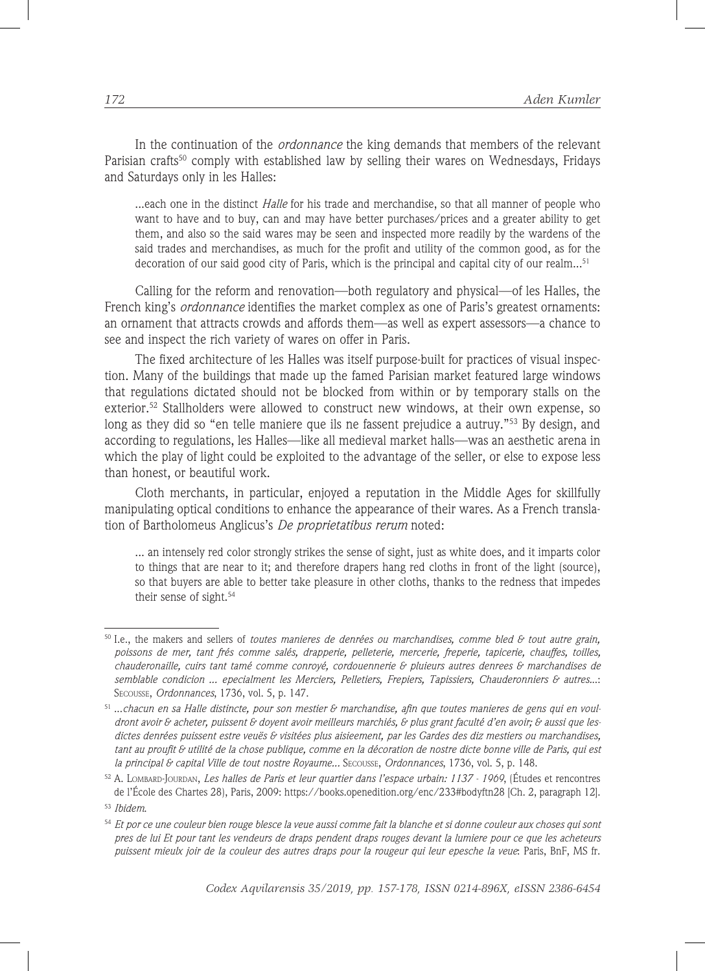In the continuation of the *ordonnance* the king demands that members of the relevant Parisian crafts<sup>50</sup> comply with established law by selling their wares on Wednesdays, Fridays and Saturdays only in les Halles:

...each one in the distinct *Halle* for his trade and merchandise, so that all manner of people who want to have and to buy, can and may have better purchases/prices and a greater ability to get them, and also so the said wares may be seen and inspected more readily by the wardens of the said trades and merchandises, as much for the profit and utility of the common good, as for the decoration of our said good city of Paris, which is the principal and capital city of our realm... $51$ 

Calling for the reform and renovation—both regulatory and physical—of les Halles, the French king's *ordonnance* identifies the market complex as one of Paris's greatest ornaments: an ornament that attracts crowds and affords them—as well as expert assessors—a chance to see and inspect the rich variety of wares on offer in Paris.

The fixed architecture of les Halles was itself purpose-built for practices of visual inspection. Many of the buildings that made up the famed Parisian market featured large windows that regulations dictated should not be blocked from within or by temporary stalls on the exterior.<sup>52</sup> Stallholders were allowed to construct new windows, at their own expense, so long as they did so "en telle maniere que ils ne fassent prejudice a autruy."<sup>53</sup> By design, and according to regulations, les Halles—like all medieval market halls—was an aesthetic arena in which the play of light could be exploited to the advantage of the seller, or else to expose less than honest, or beautiful work.

Cloth merchants, in particular, enjoyed a reputation in the Middle Ages for skillfully manipulating optical conditions to enhance the appearance of their wares. As a French translation of Bartholomeus Anglicus's *De proprietatibus rerum* noted:

... an intensely red color strongly strikes the sense of sight, just as white does, and it imparts color to things that are near to it; and therefore drapers hang red cloths in front of the light (source), so that buyers are able to better take pleasure in other cloths, thanks to the redness that impedes their sense of sight.<sup>54</sup>

<sup>50</sup> I.e., the makers and sellers of *toutes manieres de denrées ou marchandises, comme bled & tout autre grain, poissons de mer, tant frés comme salés, drapperie, pelleterie, mercerie, freperie, tapicerie, chauffes, toilles, chauderonaille, cuirs tant tamé comme conroyé, cordouennerie & pluieurs autres denrees & marchandises de semblable condicion ... epecialment les Merciers, Pelletiers, Frepiers, Tapissiers, Chauderonniers & autres.*..: Secousse, *Ordonnances*, 1736, vol. 5, p. 147.

<sup>51</sup> ...*chacun en sa Halle distincte, pour son mestier & marchandise, afin que toutes manieres de gens qui en vouldront avoir & acheter, puissent & doyent avoir meilleurs marchiés, & plus grant faculté d'en avoir; & aussi que lesdictes denrées puissent estre veuës & visitées plus aisieement, par les Gardes des diz mestiers ou marchandises, tant au proufit & utilité de la chose publique, comme en la décoration de nostre dicte bonne ville de Paris, qui est la principal & capital Ville de tout nostre Royaume...* Secousse, *Ordonnances*, 1736, vol. 5, p. 148.

<sup>52</sup> A. Lombard-Jourdan, *Les halles de Paris et leur quartier dans l'espace urbain: 1137 - 1969*, (Études et rencontres de l'École des Chartes 28), Paris, 2009: https://books.openedition.org/enc/233#bodyftn28 [Ch. 2, paragraph 12].

<sup>53</sup> *Ibidem*.

<sup>54</sup> *Et por ce une couleur bien rouge blesce la veue aussi comme fait la blanche et si donne couleur aux choses qui sont pres de lui Et pour tant les vendeurs de draps pendent draps rouges devant la lumiere pour ce que les acheteurs puissent mieulx joir de la couleur des autres draps pour la rougeur qui leur epesche la veue*: Paris, BnF, MS fr.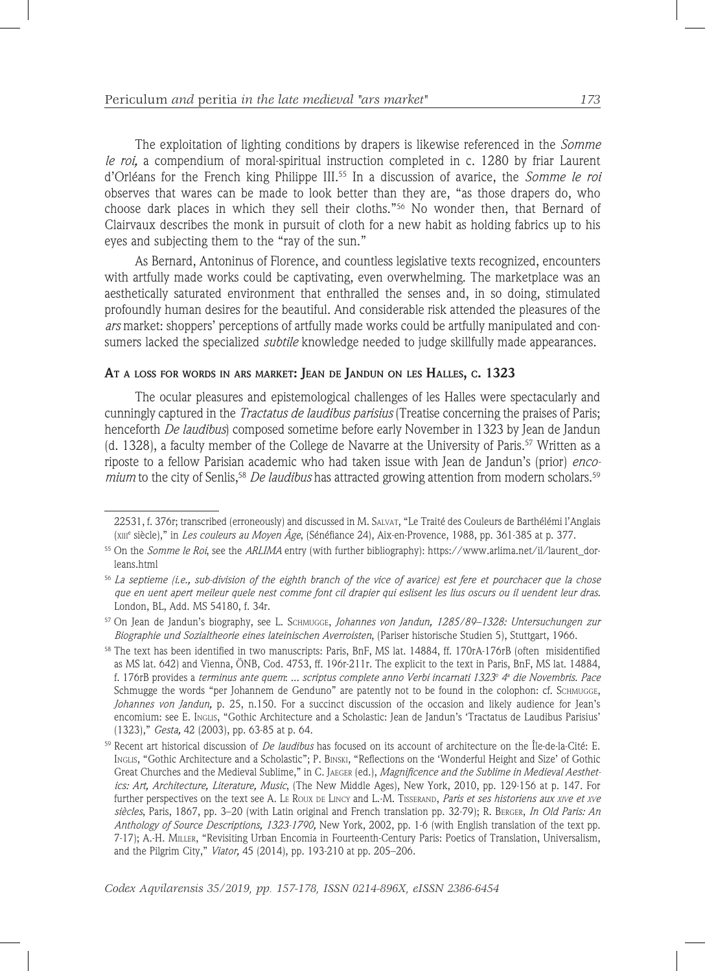The exploitation of lighting conditions by drapers is likewise referenced in the *Somme le roi,* a compendium of moral-spiritual instruction completed in c. 1280 by friar Laurent d'Orléans for the French king Philippe III.55 In a discussion of avarice, the *Somme le roi* observes that wares can be made to look better than they are, "as those drapers do, who choose dark places in which they sell their cloths."56 No wonder then, that Bernard of Clairvaux describes the monk in pursuit of cloth for a new habit as holding fabrics up to his eyes and subjecting them to the "ray of the sun."

As Bernard, Antoninus of Florence, and countless legislative texts recognized, encounters with artfully made works could be captivating, even overwhelming. The marketplace was an aesthetically saturated environment that enthralled the senses and, in so doing, stimulated profoundly human desires for the beautiful. And considerable risk attended the pleasures of the *ars* market: shoppers' perceptions of artfully made works could be artfully manipulated and consumers lacked the specialized *subtile* knowledge needed to judge skillfully made appearances.

### **At a loss for words in ars market: Jean de Jandun on les Halles, c. 1323**

The ocular pleasures and epistemological challenges of les Halles were spectacularly and cunningly captured in the *Tractatus de laudibus parisius* (Treatise concerning the praises of Paris; henceforth *De laudibus*) composed sometime before early November in 1323 by Jean de Jandun (d. 1328), a faculty member of the College de Navarre at the University of Paris.<sup>57</sup> Written as a riposte to a fellow Parisian academic who had taken issue with Jean de Jandun's (prior) *encomium* to the city of Senlis,58 *De laudibus* has attracted growing attention from modern scholars.59

<sup>22531,</sup> f. 376r; transcribed (erroneously) and discussed in M. Salvat, "Le Traité des Couleurs de Barthélémi l'Anglais (xiii<sup>e</sup> siècle)," in *Les couleurs au Moyen Âge*, (Sénéfiance 24), Aix-en-Provence, 1988, pp. 361-385 at p. 377.

<sup>55</sup> On the *Somme le Roi*, see the *ARLIMA* entry (with further bibliography): https://www.arlima.net/il/laurent\_dorleans.html

<sup>56</sup> *La septieme (i.e., sub-division of the eighth branch of the vice of avarice) est fere et pourchacer que la chose que en uent apert meileur quele nest comme font cil drapier qui eslisent les lius oscurs ou il uendent leur dras.* London, BL, Add. MS 54180, f. 34r.

<sup>57</sup> On Jean de Jandun's biography, see L. Schmugge, *Johannes von Jandun, 1285/89–1328: Untersuchungen zur Biographie und Sozialtheorie eines lateinischen Averroisten*, (Pariser historische Studien 5), Stuttgart, 1966.

<sup>58</sup> The text has been identified in two manuscripts: Paris, BnF, MS lat. 14884, ff. 170rA-176rB (often misidentified as MS lat. 642) and Vienna, ÖNB, Cod. 4753, ff. 196r-211r. The explicit to the text in Paris, BnF, MS lat. 14884, f. 176rB provides a *terminus ante quem: ... scriptus complete anno Verbi incarnati 1323<sup>o</sup> 4ª die Novembris. Pace* Schmugge the words "per Johannem de Genduno" are patently not to be found in the colophon: cf. SCHMUGGE, *Johannes von Jandun,* p. 25, n.150. For a succinct discussion of the occasion and likely audience for Jean's encomium: see E. Inglis, "Gothic Architecture and a Scholastic: Jean de Jandun's 'Tractatus de Laudibus Parisius' (1323)," *Gesta,* 42 (2003), pp. 63-85 at p. 64.

<sup>59</sup> Recent art historical discussion of *De laudibus* has focused on its account of architecture on the Île-de-la-Cité: E. Inglis, "Gothic Architecture and a Scholastic"; P. Binski, "Reflections on the 'Wonderful Height and Size' of Gothic Great Churches and the Medieval Sublime," in C. Jaeger (ed.), *Magnificence and the Sublime in Medieval Aesthetics: Art, Architecture, Literature, Music*, (The New Middle Ages), New York, 2010, pp. 129-156 at p. 147. For further perspectives on the text see A. Le Roux DE LINCY and L.-M. TISSERAND, *Paris et ses historiens aux xive et xve siècles*, Paris, 1867, pp. 3–20 (with Latin original and French translation pp. 32-79); R. Berger, *In Old Paris: An Anthology of Source Descriptions, 1323-1790,* New York, 2002, pp. 1-6 (with English translation of the text pp. 7-17); A.-H. Miller, "Revisiting Urban Encomia in Fourteenth-Century Paris: Poetics of Translation, Universalism, and the Pilgrim City," *Viator,* 45 (2014), pp. 193-210 at pp. 205–206.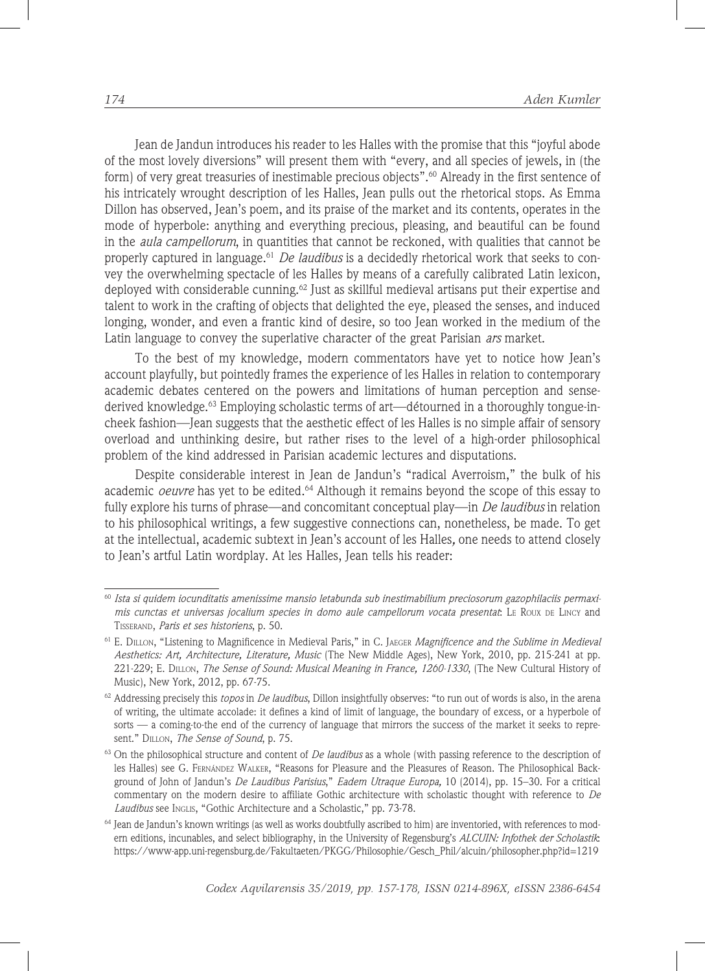Jean de Jandun introduces his reader to les Halles with the promise that this "joyful abode of the most lovely diversions" will present them with "every, and all species of jewels, in (the form) of very great treasuries of inestimable precious objects".<sup>60</sup> Already in the first sentence of his intricately wrought description of les Halles, Jean pulls out the rhetorical stops. As Emma Dillon has observed, Jean's poem, and its praise of the market and its contents, operates in the mode of hyperbole: anything and everything precious, pleasing, and beautiful can be found in the *aula campellorum*, in quantities that cannot be reckoned, with qualities that cannot be properly captured in language.61 *De laudibus* is a decidedly rhetorical work that seeks to convey the overwhelming spectacle of les Halles by means of a carefully calibrated Latin lexicon, deployed with considerable cunning.<sup>62</sup> Just as skillful medieval artisans put their expertise and talent to work in the crafting of objects that delighted the eye, pleased the senses, and induced longing, wonder, and even a frantic kind of desire, so too Jean worked in the medium of the Latin language to convey the superlative character of the great Parisian *ars* market.

To the best of my knowledge, modern commentators have yet to notice how Jean's account playfully, but pointedly frames the experience of les Halles in relation to contemporary academic debates centered on the powers and limitations of human perception and sensederived knowledge.<sup>63</sup> Employing scholastic terms of art—détourned in a thoroughly tongue-incheek fashion—Jean suggests that the aesthetic effect of les Halles is no simple affair of sensory overload and unthinking desire, but rather rises to the level of a high-order philosophical problem of the kind addressed in Parisian academic lectures and disputations.

Despite considerable interest in Jean de Jandun's "radical Averroism," the bulk of his academic *oeuvre* has yet to be edited.<sup>64</sup> Although it remains beyond the scope of this essay to fully explore his turns of phrase—and concomitant conceptual play—in *De laudibus* in relation to his philosophical writings, a few suggestive connections can, nonetheless, be made. To get at the intellectual, academic subtext in Jean's account of les Halles*,* one needs to attend closely to Jean's artful Latin wordplay. At les Halles, Jean tells his reader:

<sup>60</sup> *Ista si quidem iocunditatis amenissime mansio letabunda sub inestimabilium preciosorum gazophilaciis permaximis cunctas et universas jocalium species in domo aule campellorum vocata presentat*: Le Roux de Lincy and Tisserand, *Paris et ses historiens*, p. 50.

<sup>61</sup> E. Dillon, "Listening to Magnificence in Medieval Paris," in C. Jaeger *Magnificence and the Sublime in Medieval Aesthetics: Art, Architecture, Literature, Music* (The New Middle Ages), New York, 2010, pp. 215-241 at pp. 221-229; E. Dillon, *The Sense of Sound: Musical Meaning in France, 1260-1330*, (The New Cultural History of Music), New York, 2012, pp. 67-75.

<sup>62</sup> Addressing precisely this *topos* in *De laudibus*, Dillon insightfully observes: "to run out of words is also, in the arena of writing, the ultimate accolade: it defines a kind of limit of language, the boundary of excess, or a hyperbole of sorts — a coming-to-the end of the currency of language that mirrors the success of the market it seeks to represent." Dillon, *The Sense of Sound*, p. 75.

<sup>63</sup> On the philosophical structure and content of *De laudibus* as a whole (with passing reference to the description of les Halles) see G. Fernández Walker, "Reasons for Pleasure and the Pleasures of Reason. The Philosophical Background of John of Jandun's *De Laudibus Parisius*," *Eadem Utraque Europa,* 10 (2014), pp. 15–30. For a critical commentary on the modern desire to affiliate Gothic architecture with scholastic thought with reference to *De*  Laudibus see Inglis, "Gothic Architecture and a Scholastic," pp. 73-78.

 $64$  Jean de Jandun's known writings (as well as works doubtfully ascribed to him) are inventoried, with references to modern editions, incunables, and select bibliography, in the University of Regensburg's *ALCUIN: Infothek der Scholastik*: https://www-app.uni-regensburg.de/Fakultaeten/PKGG/Philosophie/Gesch\_Phil/alcuin/philosopher.php?id=1219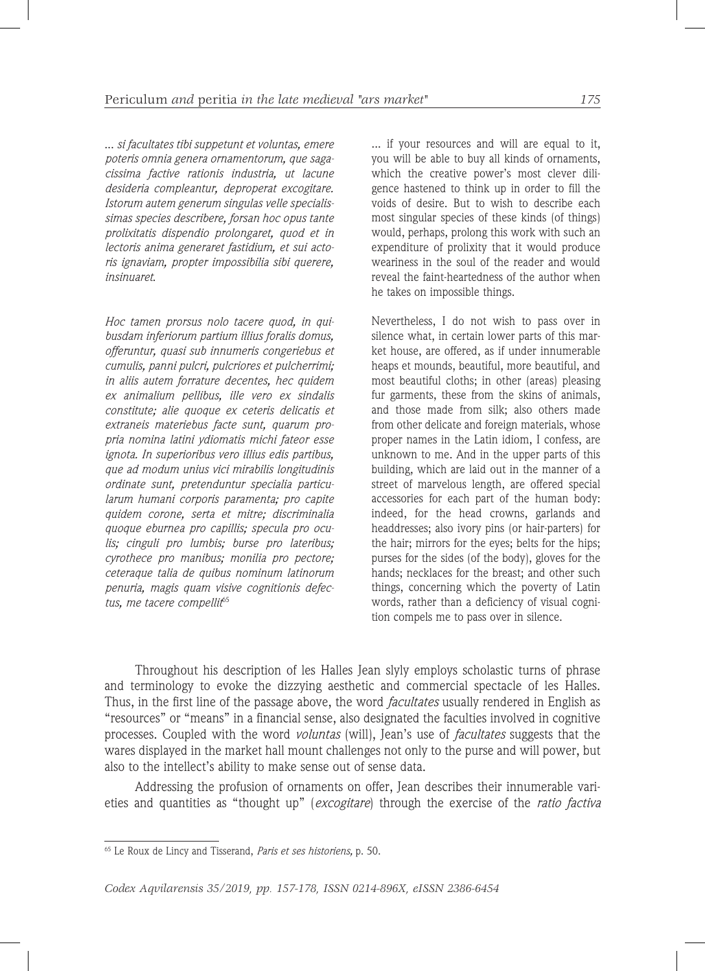... *si facultates tibi suppetunt et voluntas, emere poteris omnia genera ornamentorum, que sagacissima factive rationis industria, ut lacune desideria compleantur, deproperat excogitare. Istorum autem generum singulas velle specialissimas species describere, forsan hoc opus tante prolixitatis dispendio prolongaret, quod et in lectoris anima generaret fastidium, et sui actoris ignaviam, propter impossibilia sibi querere, insinuaret*.

*Hoc tamen prorsus nolo tacere quod, in quibusdam inferiorum partium illius foralis domus, offeruntur, quasi sub innumeris congeriebus et cumulis, panni pulcri, pulcriores et pulcherrimi; in aliis autem forrature decentes, hec quidem ex animalium pellibus, ille vero ex sindalis constitute; alie quoque ex ceteris delicatis et extraneis materiebus facte sunt, quarum propria nomina latini ydiomatis michi fateor esse ignota. In superioribus vero illius edis partibus, que ad modum unius vici mirabilis longitudinis ordinate sunt, pretenduntur specialia particularum humani corporis paramenta; pro capite quidem corone, serta et mitre; discriminalia quoque eburnea pro capillis; specula pro oculis; cinguli pro lumbis; burse pro lateribus; cyrothece pro manibus; monilia pro pectore; ceteraque talia de quibus nominum latinorum penuria, magis quam visive cognitionis defec*tus, me tacere compellit<sup>65</sup>

... if your resources and will are equal to it, you will be able to buy all kinds of ornaments, which the creative power's most clever diligence hastened to think up in order to fill the voids of desire. But to wish to describe each most singular species of these kinds (of things) would, perhaps, prolong this work with such an expenditure of prolixity that it would produce weariness in the soul of the reader and would reveal the faint-heartedness of the author when he takes on impossible things.

Nevertheless, I do not wish to pass over in silence what, in certain lower parts of this market house, are offered, as if under innumerable heaps et mounds, beautiful, more beautiful, and most beautiful cloths; in other (areas) pleasing fur garments, these from the skins of animals, and those made from silk; also others made from other delicate and foreign materials, whose proper names in the Latin idiom, I confess, are unknown to me. And in the upper parts of this building, which are laid out in the manner of a street of marvelous length, are offered special accessories for each part of the human body: indeed, for the head crowns, garlands and headdresses; also ivory pins (or hair-parters) for the hair; mirrors for the eyes; belts for the hips; purses for the sides (of the body), gloves for the hands; necklaces for the breast; and other such things, concerning which the poverty of Latin words, rather than a deficiency of visual cognition compels me to pass over in silence.

Throughout his description of les Halles Jean slyly employs scholastic turns of phrase and terminology to evoke the dizzying aesthetic and commercial spectacle of les Halles. Thus, in the first line of the passage above, the word *facultates* usually rendered in English as "resources" or "means" in a financial sense, also designated the faculties involved in cognitive processes. Coupled with the word *voluntas* (will), Jean's use of *facultates* suggests that the wares displayed in the market hall mount challenges not only to the purse and will power, but also to the intellect's ability to make sense out of sense data.

Addressing the profusion of ornaments on offer, Jean describes their innumerable varieties and quantities as "thought up" (*excogitare*) through the exercise of the *ratio factiva* 

<sup>65</sup> Le Roux de Lincy and Tisserand, *Paris et ses historiens,* p. 50.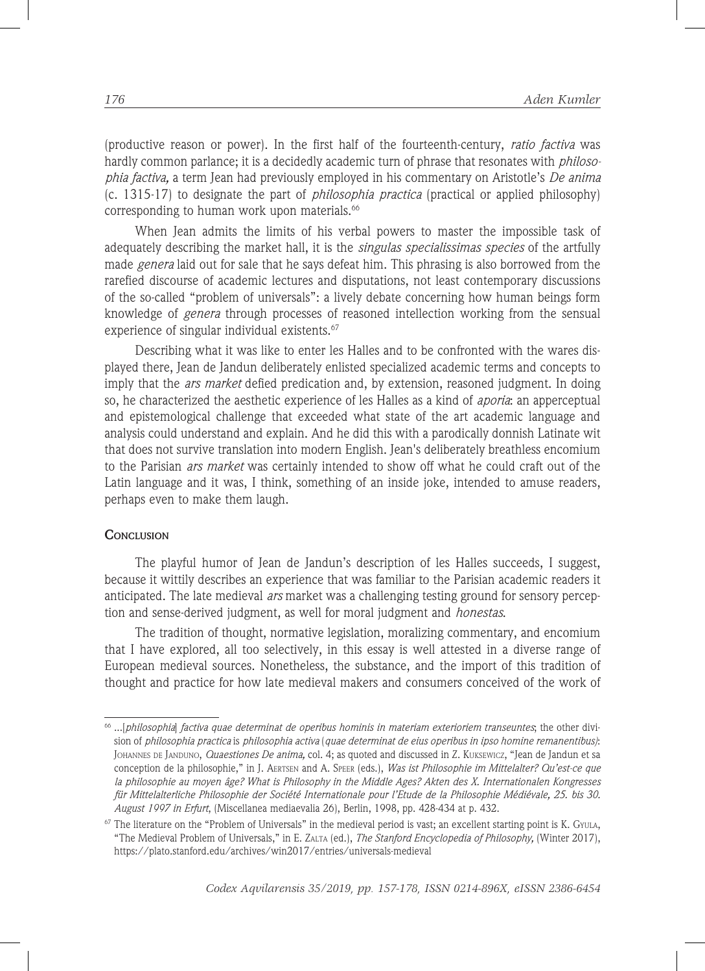(productive reason or power). In the first half of the fourteenth-century, *ratio factiva* was hardly common parlance; it is a decidedly academic turn of phrase that resonates with *philosophia factiva,* a term Jean had previously employed in his commentary on Aristotle's *De anima*  (c. 1315-17) to designate the part of *philosophia practica* (practical or applied philosophy) corresponding to human work upon materials.<sup>66</sup>

When Jean admits the limits of his verbal powers to master the impossible task of adequately describing the market hall, it is the *singulas specialissimas species* of the artfully made *genera* laid out for sale that he says defeat him. This phrasing is also borrowed from the rarefied discourse of academic lectures and disputations, not least contemporary discussions of the so-called "problem of universals": a lively debate concerning how human beings form knowledge of *genera* through processes of reasoned intellection working from the sensual experience of singular individual existents.<sup>67</sup>

Describing what it was like to enter les Halles and to be confronted with the wares displayed there, Jean de Jandun deliberately enlisted specialized academic terms and concepts to imply that the *ars market* defied predication and, by extension, reasoned judgment. In doing so, he characterized the aesthetic experience of les Halles as a kind of *aporia*: an apperceptual and epistemological challenge that exceeded what state of the art academic language and analysis could understand and explain. And he did this with a parodically donnish Latinate wit that does not survive translation into modern English. Jean's deliberately breathless encomium to the Parisian *ars market* was certainly intended to show off what he could craft out of the Latin language and it was, I think, something of an inside joke, intended to amuse readers, perhaps even to make them laugh.

### **CONCLUSION**

The playful humor of Jean de Jandun's description of les Halles succeeds, I suggest, because it wittily describes an experience that was familiar to the Parisian academic readers it anticipated. The late medieval *ars* market was a challenging testing ground for sensory perception and sense-derived judgment, as well for moral judgment and *honestas*.

The tradition of thought, normative legislation, moralizing commentary, and encomium that I have explored, all too selectively, in this essay is well attested in a diverse range of European medieval sources. Nonetheless, the substance, and the import of this tradition of thought and practice for how late medieval makers and consumers conceived of the work of

<sup>66</sup> ...[*philosophia*] *factiva quae determinat de operibus hominis in materiam exterioriem transeuntes*; the other division of *philosophia practica* is *philosophia activa* (*quae determinat de eius operibus in ipso homine remanentibus)*: Johannes de Janduno, *Quaestiones De anima,* col. 4; as quoted and discussed in Z. Kuksewicz, "Jean de Jandun et sa conception de la philosophie," in J. Aertsen and A. Speer (eds.), *Was ist Philosophie im Mittelalter? Qu'est-ce que la philosophie au moyen âge? What is Philosophy in the Middle Ages? Akten des X. Internationalen Kongresses für Mittelalterliche Philosophie der Société Internationale pour l'Etude de la Philosophie Médiévale, 25. bis 30. August 1997 in Erfurt*, (Miscellanea mediaevalia 26), Berlin, 1998, pp. 428-434 at p. 432.

 $67$  The literature on the "Problem of Universals" in the medieval period is vast; an excellent starting point is K. Gyula, "The Medieval Problem of Universals," in E. Zalta (ed.), *The Stanford Encyclopedia of Philosophy,* (Winter 2017), https://plato.stanford.edu/archives/win2017/entries/universals-medieval